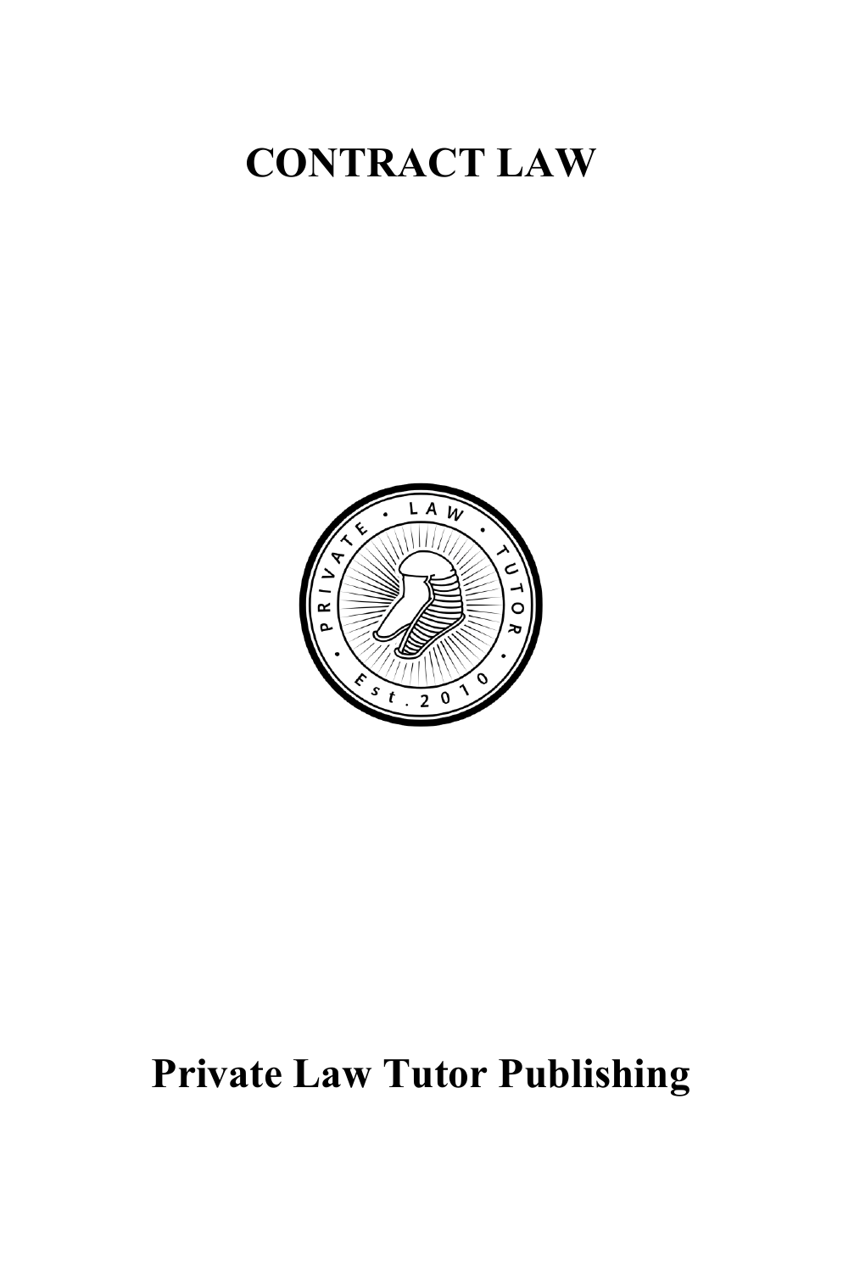# **CONTRACT LAW**



# **Private Law Tutor Publishing**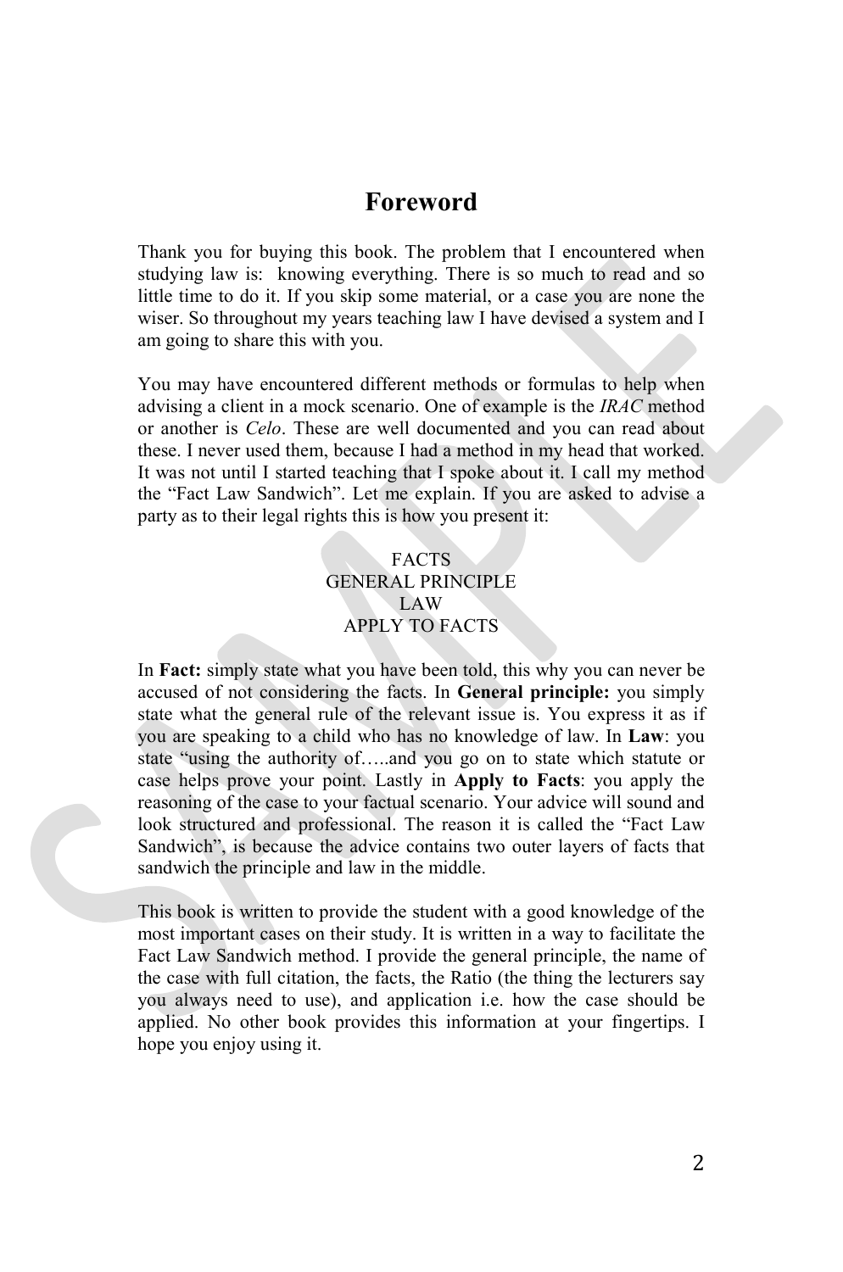# **Foreword**

Thank you for buying this book. The problem that I encountered when studying law is: knowing everything. There is so much to read and so little time to do it. If you skip some material, or a case you are none the wiser. So throughout my years teaching law I have devised a system and I am going to share this with you.

You may have encountered different methods or formulas to help when advising a client in a mock scenario. One of example is the *IRAC* method or another is *Celo*. These are well documented and you can read about these. I never used them, because I had a method in my head that worked. It was not until I started teaching that I spoke about it. I call my method the "Fact Law Sandwich". Let me explain. If you are asked to advise a party as to their legal rights this is how you present it:

#### FACTS GENERAL PRINCIPLE LAW APPLY TO FACTS

In **Fact:** simply state what you have been told, this why you can never be accused of not considering the facts. In **General principle:** you simply state what the general rule of the relevant issue is. You express it as if you are speaking to a child who has no knowledge of law. In **Law**: you state "using the authority of…..and you go on to state which statute or case helps prove your point. Lastly in **Apply to Facts**: you apply the reasoning of the case to your factual scenario. Your advice will sound and look structured and professional. The reason it is called the "Fact Law Sandwich", is because the advice contains two outer layers of facts that sandwich the principle and law in the middle.

This book is written to provide the student with a good knowledge of the most important cases on their study. It is written in a way to facilitate the Fact Law Sandwich method. I provide the general principle, the name of the case with full citation, the facts, the Ratio (the thing the lecturers say you always need to use), and application i.e. how the case should be applied. No other book provides this information at your fingertips. I hope you enjoy using it.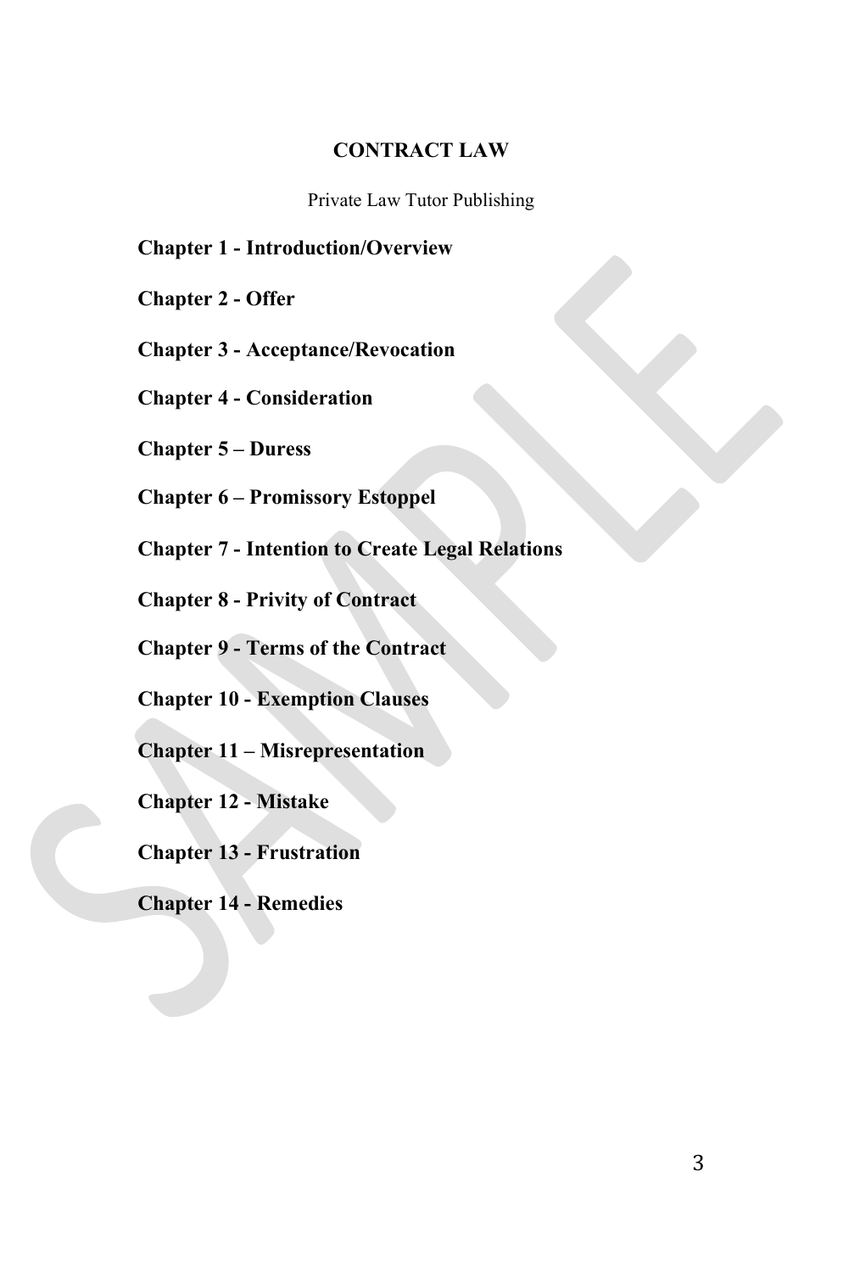#### **CONTRACT LAW**

Private Law Tutor Publishing

**Chapter 1 - Introduction/Overview**

**Chapter 2 - Offer**

**Chapter 3 - Acceptance/Revocation**

**Chapter 4 - Consideration** 

**Chapter 5 – Duress**

**Chapter 6 – Promissory Estoppel**

**Chapter 7 - Intention to Create Legal Relations** 

**Chapter 8 - Privity of Contract** 

**Chapter 9 - Terms of the Contract**

**Chapter 10 - Exemption Clauses**

**Chapter 11 – Misrepresentation**

**Chapter 12 - Mistake** 

**Chapter 13 - Frustration**

**Chapter 14 - Remedies**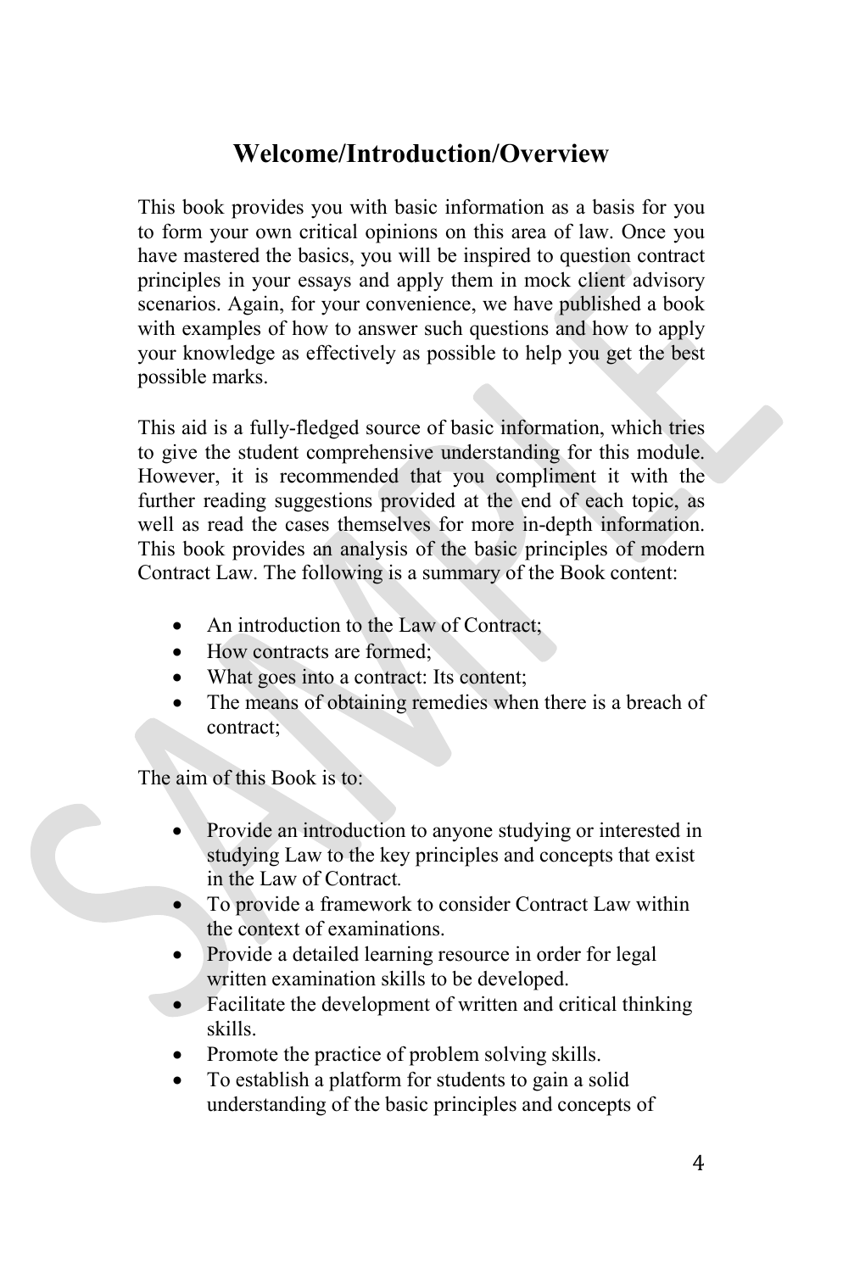# **Welcome/Introduction/Overview**

This book provides you with basic information as a basis for you to form your own critical opinions on this area of law. Once you have mastered the basics, you will be inspired to question contract principles in your essays and apply them in mock client advisory scenarios. Again, for your convenience, we have published a book with examples of how to answer such questions and how to apply your knowledge as effectively as possible to help you get the best possible marks.

This aid is a fully-fledged source of basic information, which tries to give the student comprehensive understanding for this module. However, it is recommended that you compliment it with the further reading suggestions provided at the end of each topic, as well as read the cases themselves for more in-depth information. This book provides an analysis of the basic principles of modern Contract Law. The following is a summary of the Book content:

- An introduction to the Law of Contract;
- How contracts are formed:
- What goes into a contract: Its content;
- The means of obtaining remedies when there is a breach of contract;

The aim of this Book is to:

- Provide an introduction to anyone studying or interested in studying Law to the key principles and concepts that exist in the Law of Contract*.*
- To provide a framework to consider Contract Law within the context of examinations.
- Provide a detailed learning resource in order for legal written examination skills to be developed.
- Facilitate the development of written and critical thinking skills.
- Promote the practice of problem solving skills.
- To establish a platform for students to gain a solid understanding of the basic principles and concepts of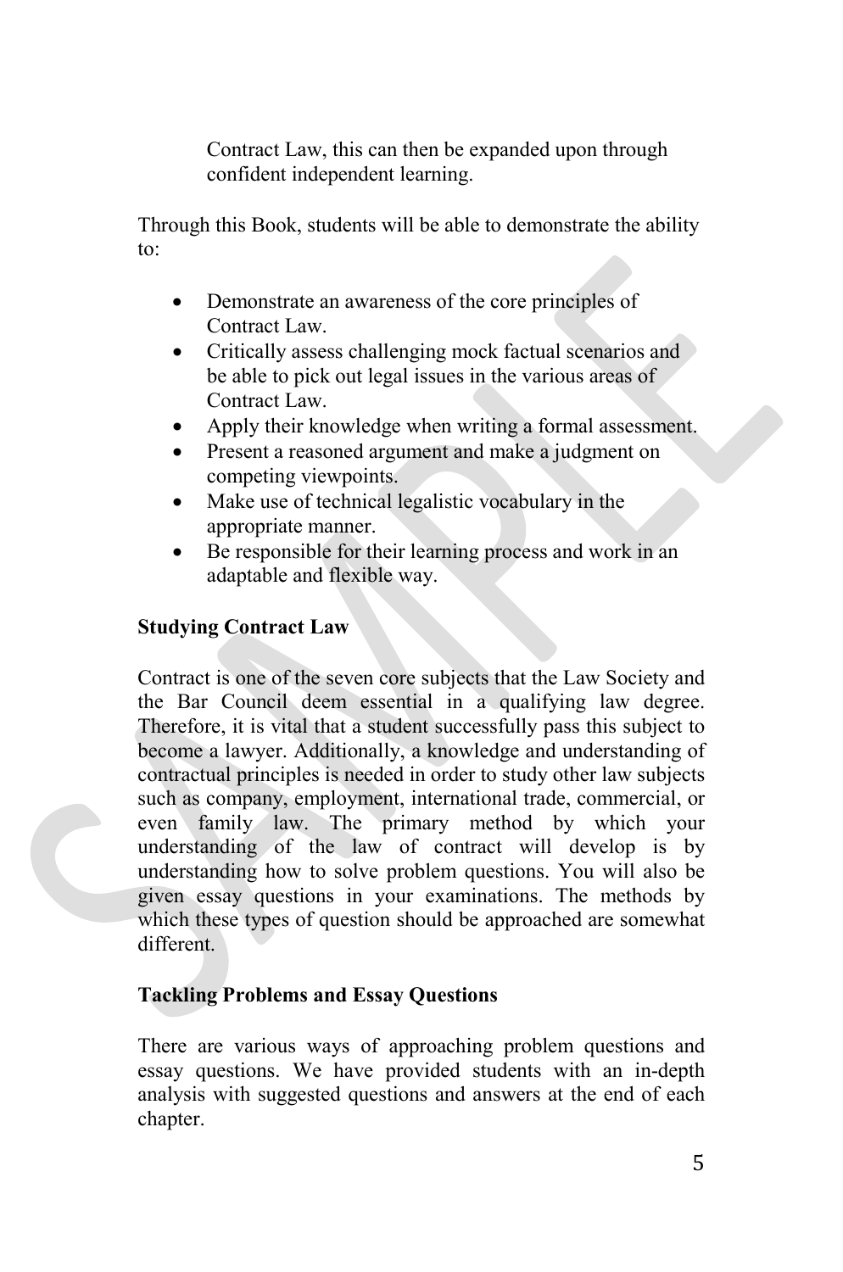Contract Law, this can then be expanded upon through confident independent learning.

Through this Book, students will be able to demonstrate the ability to:

- Demonstrate an awareness of the core principles of Contract Law.
- Critically assess challenging mock factual scenarios and be able to pick out legal issues in the various areas of Contract Law.
- Apply their knowledge when writing a formal assessment.
- Present a reasoned argument and make a judgment on competing viewpoints.
- Make use of technical legalistic vocabulary in the appropriate manner.
- Be responsible for their learning process and work in an adaptable and flexible way.

# **Studying Contract Law**

Contract is one of the seven core subjects that the Law Society and the Bar Council deem essential in a qualifying law degree. Therefore, it is vital that a student successfully pass this subject to become a lawyer. Additionally, a knowledge and understanding of contractual principles is needed in order to study other law subjects such as company, employment, international trade, commercial, or even family law. The primary method by which your understanding of the law of contract will develop is by understanding how to solve problem questions. You will also be given essay questions in your examinations. The methods by which these types of question should be approached are somewhat different.

# **Tackling Problems and Essay Questions**

There are various ways of approaching problem questions and essay questions. We have provided students with an in-depth analysis with suggested questions and answers at the end of each chapter.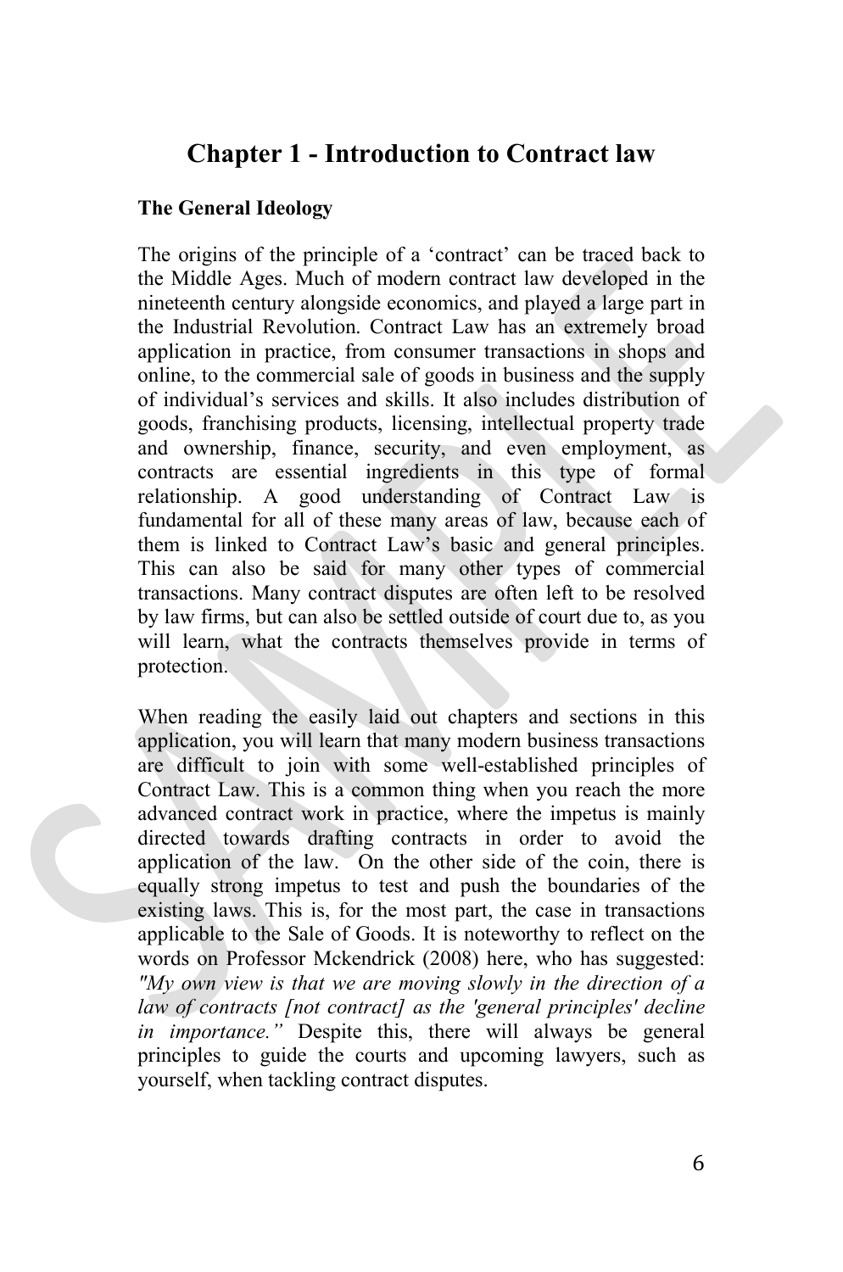# **Chapter 1 - Introduction to Contract law**

# **The General Ideology**

The origins of the principle of a 'contract' can be traced back to the Middle Ages. Much of modern contract law developed in the nineteenth century alongside economics, and played a large part in the Industrial Revolution. Contract Law has an extremely broad application in practice, from consumer transactions in shops and online, to the commercial sale of goods in business and the supply of individual's services and skills. It also includes distribution of goods, franchising products, licensing, intellectual property trade and ownership, finance, security, and even employment, as contracts are essential ingredients in this type of formal relationship. A good understanding of Contract Law is fundamental for all of these many areas of law, because each of them is linked to Contract Law's basic and general principles. This can also be said for many other types of commercial transactions. Many contract disputes are often left to be resolved by law firms, but can also be settled outside of court due to, as you will learn, what the contracts themselves provide in terms of protection.

When reading the easily laid out chapters and sections in this application, you will learn that many modern business transactions are difficult to join with some well-established principles of Contract Law. This is a common thing when you reach the more advanced contract work in practice, where the impetus is mainly directed towards drafting contracts in order to avoid the application of the law. On the other side of the coin, there is equally strong impetus to test and push the boundaries of the existing laws. This is, for the most part, the case in transactions applicable to the Sale of Goods. It is noteworthy to reflect on the words on Professor Mckendrick (2008) here, who has suggested: *"My own view is that we are moving slowly in the direction of a law of contracts [not contract] as the 'general principles' decline in importance."* Despite this, there will always be general principles to guide the courts and upcoming lawyers, such as yourself, when tackling contract disputes.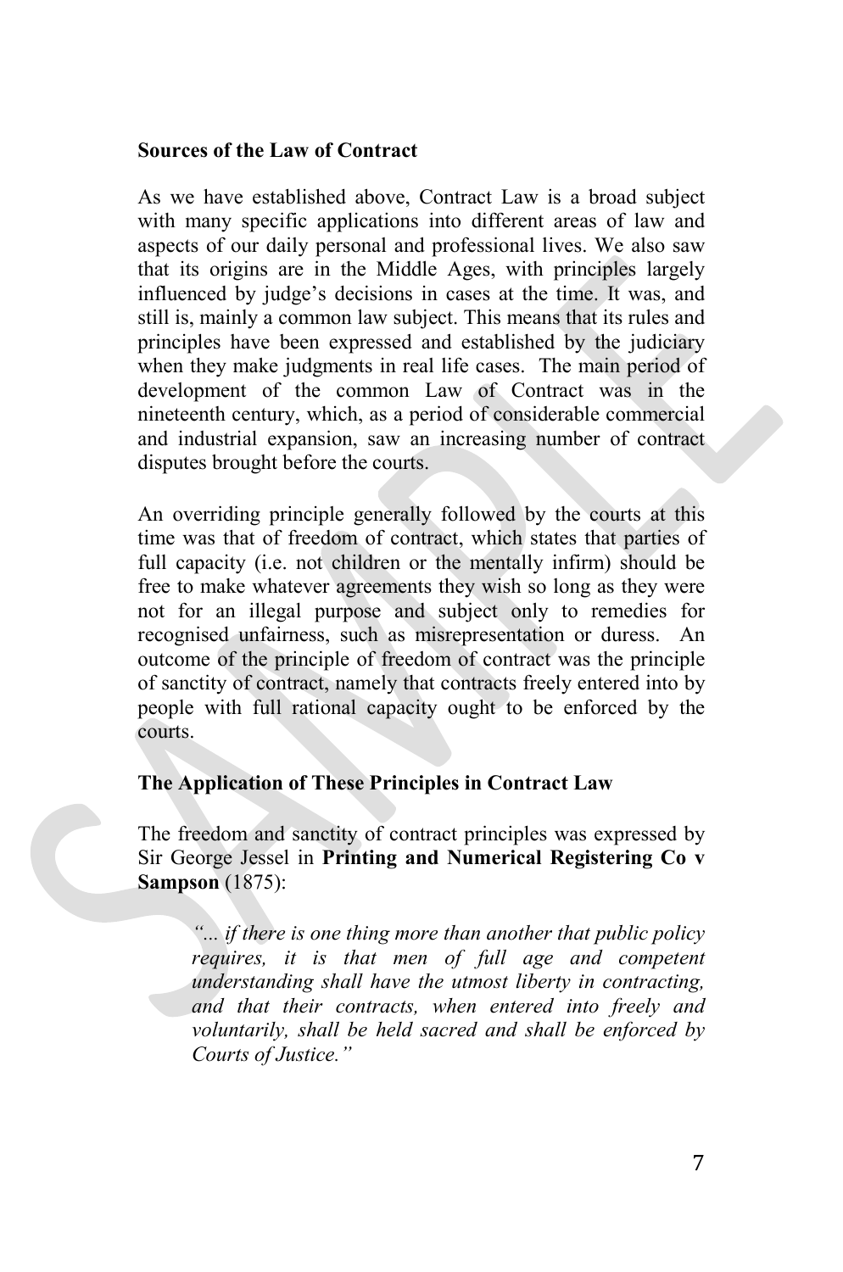#### **Sources of the Law of Contract**

As we have established above, Contract Law is a broad subject with many specific applications into different areas of law and aspects of our daily personal and professional lives. We also saw that its origins are in the Middle Ages, with principles largely influenced by judge's decisions in cases at the time. It was, and still is, mainly a common law subject. This means that its rules and principles have been expressed and established by the judiciary when they make judgments in real life cases. The main period of development of the common Law of Contract was in the nineteenth century, which, as a period of considerable commercial and industrial expansion, saw an increasing number of contract disputes brought before the courts.

An overriding principle generally followed by the courts at this time was that of freedom of contract, which states that parties of full capacity (i.e. not children or the mentally infirm) should be free to make whatever agreements they wish so long as they were not for an illegal purpose and subject only to remedies for recognised unfairness, such as misrepresentation or duress. An outcome of the principle of freedom of contract was the principle of sanctity of contract, namely that contracts freely entered into by people with full rational capacity ought to be enforced by the courts.

# **The Application of These Principles in Contract Law**

The freedom and sanctity of contract principles was expressed by Sir George Jessel in **Printing and Numerical Registering Co v Sampson** (1875):

*"... if there is one thing more than another that public policy requires, it is that men of full age and competent understanding shall have the utmost liberty in contracting, and that their contracts, when entered into freely and voluntarily, shall be held sacred and shall be enforced by Courts of Justice."*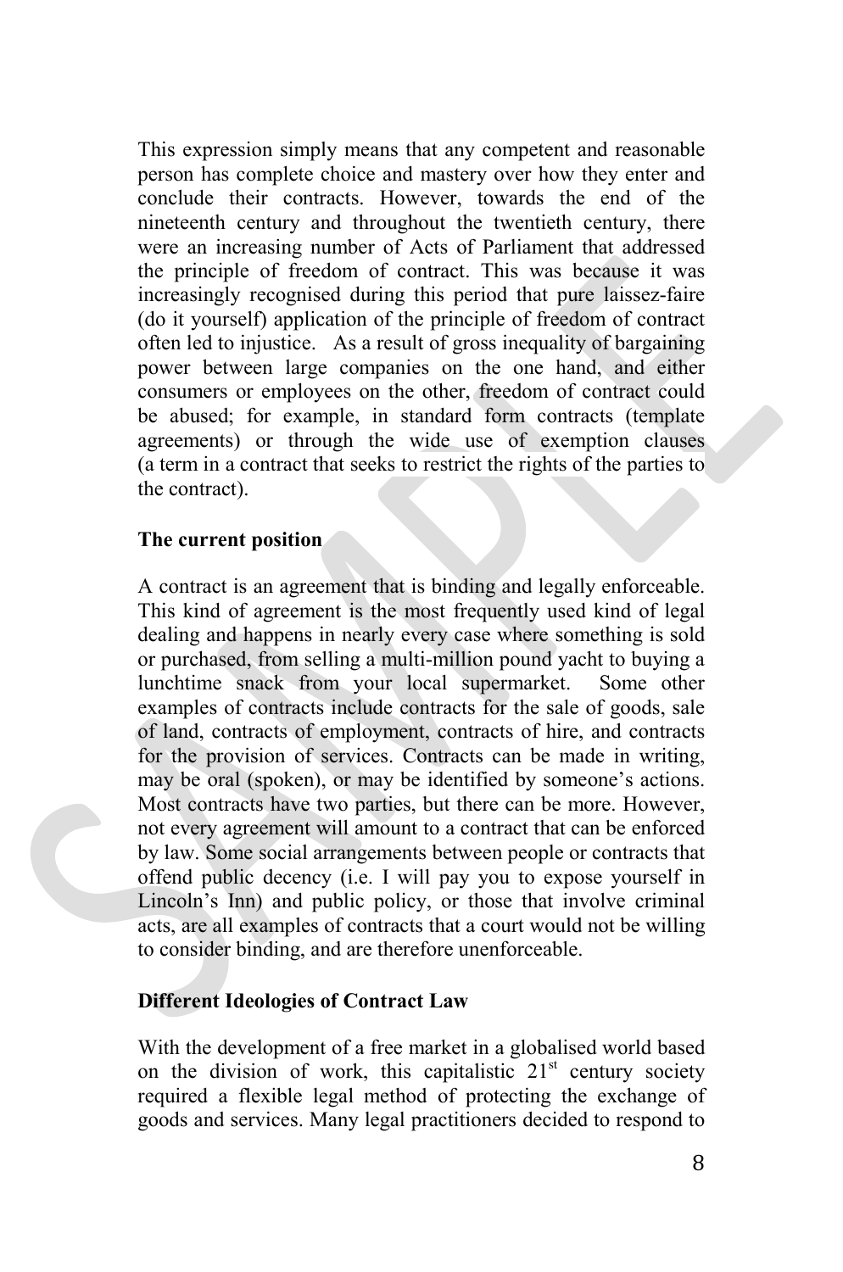This expression simply means that any competent and reasonable person has complete choice and mastery over how they enter and conclude their contracts. However, towards the end of the nineteenth century and throughout the twentieth century, there were an increasing number of Acts of Parliament that addressed the principle of freedom of contract. This was because it was increasingly recognised during this period that pure laissez-faire (do it yourself) application of the principle of freedom of contract often led to injustice. As a result of gross inequality of bargaining power between large companies on the one hand, and either consumers or employees on the other, freedom of contract could be abused; for example, in standard form contracts (template agreements) or through the wide use of exemption clauses (a term in a contract that seeks to restrict the rights of the parties to the contract).

# **The current position**

A contract is an agreement that is binding and legally enforceable. This kind of agreement is the most frequently used kind of legal dealing and happens in nearly every case where something is sold or purchased, from selling a multi-million pound yacht to buying a lunchtime snack from your local supermarket. Some other examples of contracts include contracts for the sale of goods, sale of land, contracts of employment, contracts of hire, and contracts for the provision of services. Contracts can be made in writing, may be oral (spoken), or may be identified by someone's actions. Most contracts have two parties, but there can be more. However, not every agreement will amount to a contract that can be enforced by law. Some social arrangements between people or contracts that offend public decency (i.e. I will pay you to expose yourself in Lincoln's Inn) and public policy, or those that involve criminal acts, are all examples of contracts that a court would not be willing to consider binding, and are therefore unenforceable.

# **Different Ideologies of Contract Law**

With the development of a free market in a globalised world based on the division of work, this capitalistic  $21<sup>st</sup>$  century society required a flexible legal method of protecting the exchange of goods and services. Many legal practitioners decided to respond to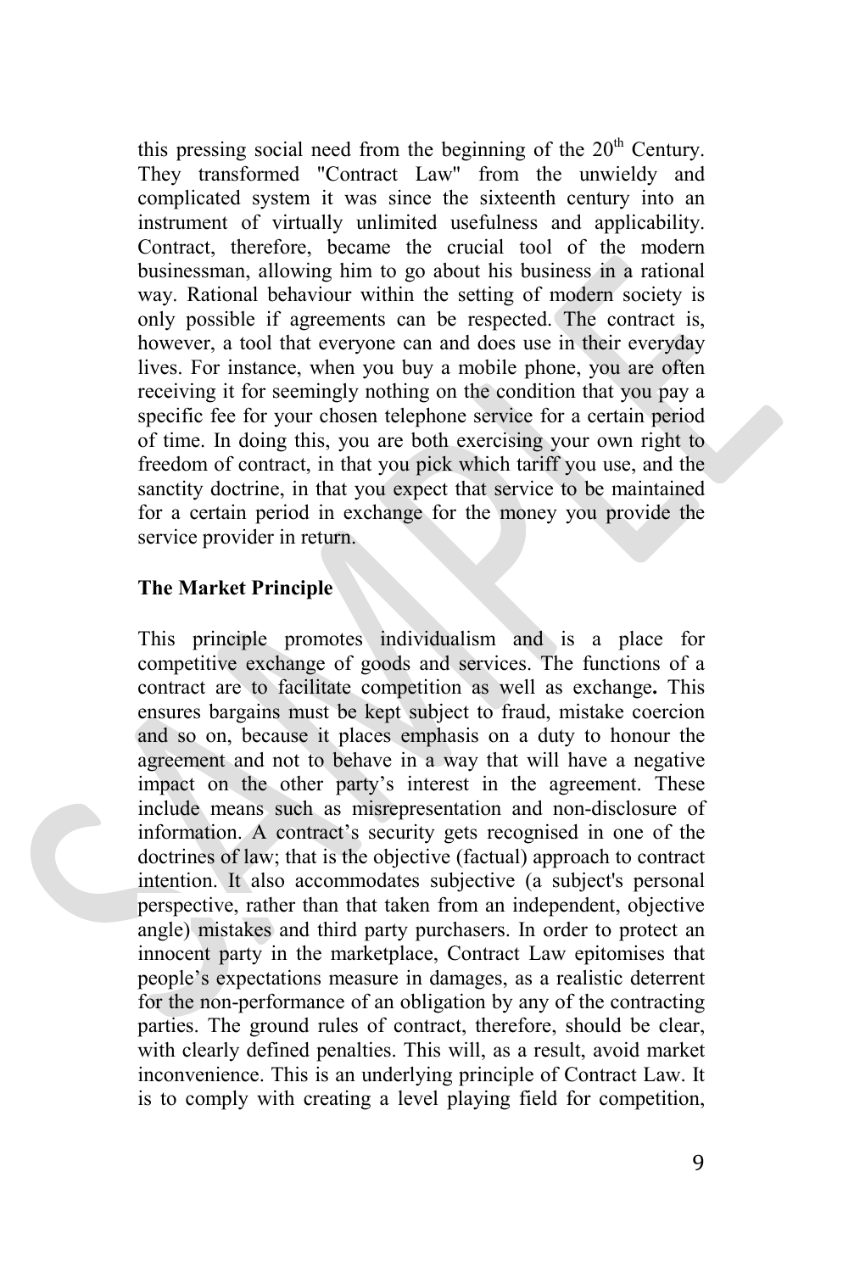this pressing social need from the beginning of the  $20<sup>th</sup>$  Century. They transformed "Contract Law" from the unwieldy and complicated system it was since the sixteenth century into an instrument of virtually unlimited usefulness and applicability. Contract, therefore, became the crucial tool of the modern businessman, allowing him to go about his business in a rational way. Rational behaviour within the setting of modern society is only possible if agreements can be respected. The contract is, however, a tool that everyone can and does use in their everyday lives. For instance, when you buy a mobile phone, you are often receiving it for seemingly nothing on the condition that you pay a specific fee for your chosen telephone service for a certain period of time. In doing this, you are both exercising your own right to freedom of contract, in that you pick which tariff you use, and the sanctity doctrine, in that you expect that service to be maintained for a certain period in exchange for the money you provide the service provider in return.

# **The Market Principle**

This principle promotes individualism and is a place for competitive exchange of goods and services. The functions of a contract are to facilitate competition as well as exchange**.** This ensures bargains must be kept subject to fraud, mistake coercion and so on, because it places emphasis on a duty to honour the agreement and not to behave in a way that will have a negative impact on the other party's interest in the agreement. These include means such as misrepresentation and non-disclosure of information. A contract's security gets recognised in one of the doctrines of law; that is the objective (factual) approach to contract intention. It also accommodates subjective (a subject's personal perspective, rather than that taken from an independent, objective angle) mistakes and third party purchasers. In order to protect an innocent party in the marketplace, Contract Law epitomises that people's expectations measure in damages, as a realistic deterrent for the non-performance of an obligation by any of the contracting parties. The ground rules of contract, therefore, should be clear, with clearly defined penalties. This will, as a result, avoid market inconvenience. This is an underlying principle of Contract Law. It is to comply with creating a level playing field for competition,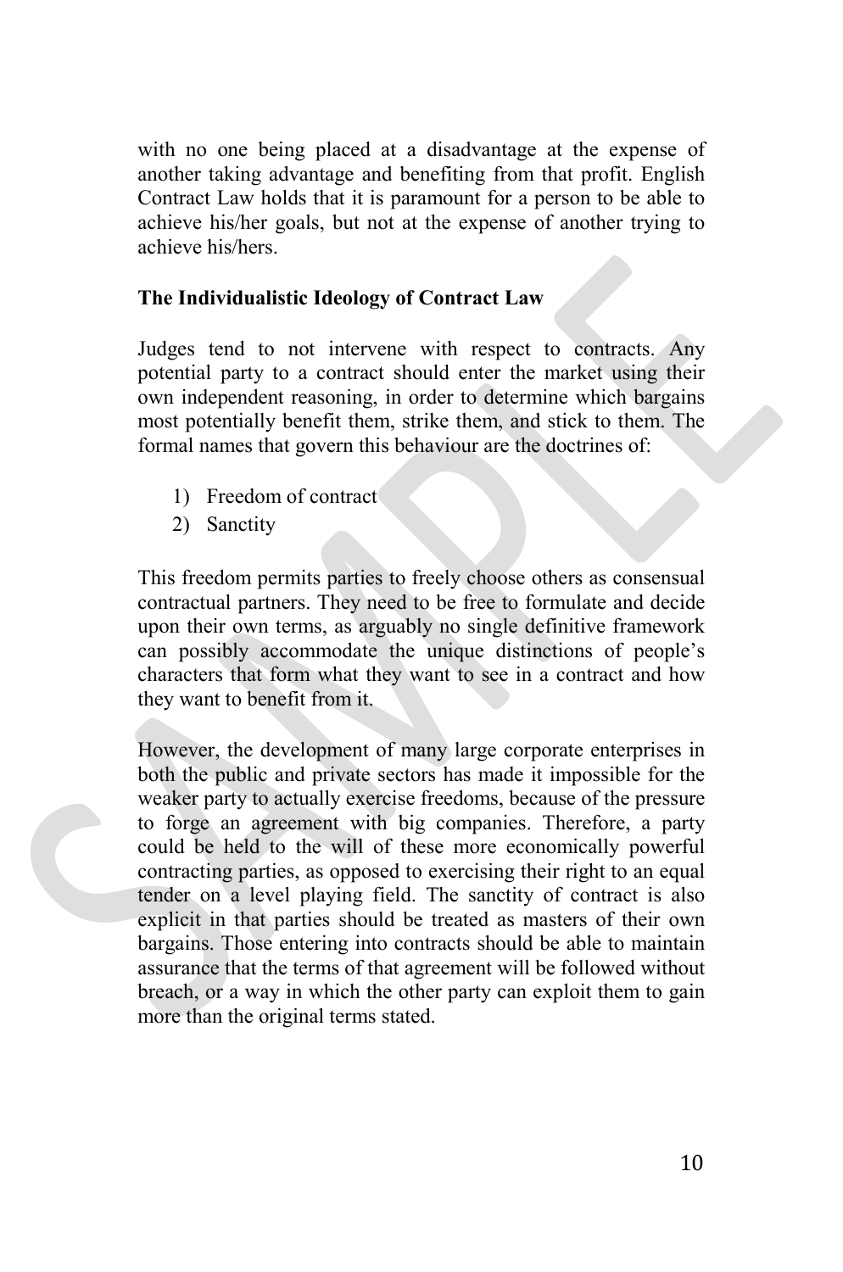with no one being placed at a disadvantage at the expense of another taking advantage and benefiting from that profit. English Contract Law holds that it is paramount for a person to be able to achieve his/her goals, but not at the expense of another trying to achieve his/hers.

# **The Individualistic Ideology of Contract Law**

Judges tend to not intervene with respect to contracts. Any potential party to a contract should enter the market using their own independent reasoning, in order to determine which bargains most potentially benefit them, strike them, and stick to them. The formal names that govern this behaviour are the doctrines of:

- 1) Freedom of contract
- 2) Sanctity

This freedom permits parties to freely choose others as consensual contractual partners. They need to be free to formulate and decide upon their own terms, as arguably no single definitive framework can possibly accommodate the unique distinctions of people's characters that form what they want to see in a contract and how they want to benefit from it.

However, the development of many large corporate enterprises in both the public and private sectors has made it impossible for the weaker party to actually exercise freedoms, because of the pressure to forge an agreement with big companies. Therefore, a party could be held to the will of these more economically powerful contracting parties, as opposed to exercising their right to an equal tender on a level playing field. The sanctity of contract is also explicit in that parties should be treated as masters of their own bargains. Those entering into contracts should be able to maintain assurance that the terms of that agreement will be followed without breach, or a way in which the other party can exploit them to gain more than the original terms stated.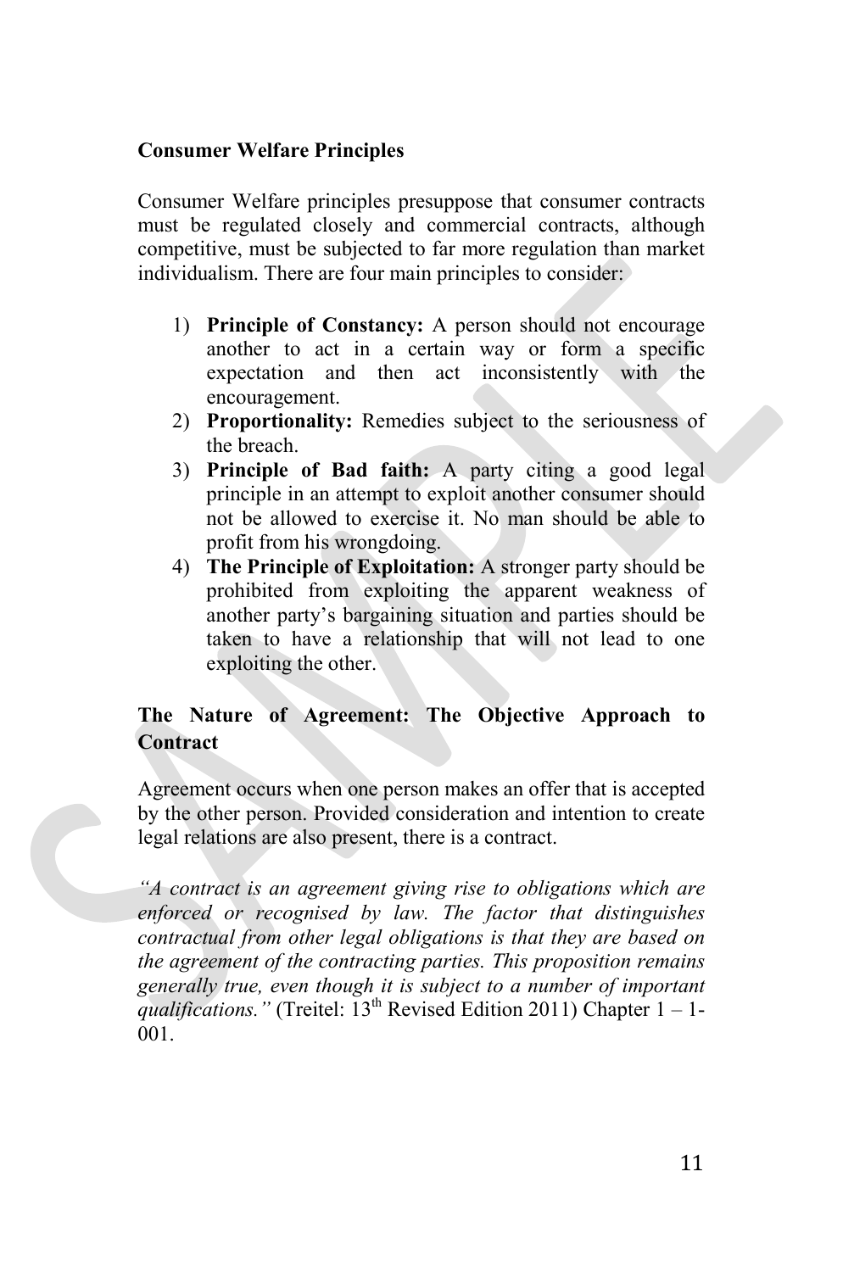# **Consumer Welfare Principles**

Consumer Welfare principles presuppose that consumer contracts must be regulated closely and commercial contracts, although competitive, must be subjected to far more regulation than market individualism. There are four main principles to consider:

- 1) **Principle of Constancy:** A person should not encourage another to act in a certain way or form a specific expectation and then act inconsistently with the encouragement.
- 2) **Proportionality:** Remedies subject to the seriousness of the breach.
- 3) **Principle of Bad faith:** A party citing a good legal principle in an attempt to exploit another consumer should not be allowed to exercise it. No man should be able to profit from his wrongdoing.
- 4) **The Principle of Exploitation:** A stronger party should be prohibited from exploiting the apparent weakness of another party's bargaining situation and parties should be taken to have a relationship that will not lead to one exploiting the other.

# **The Nature of Agreement: The Objective Approach to Contract**

Agreement occurs when one person makes an offer that is accepted by the other person. Provided consideration and intention to create legal relations are also present, there is a contract.

*"A contract is an agreement giving rise to obligations which are enforced or recognised by law. The factor that distinguishes contractual from other legal obligations is that they are based on the agreement of the contracting parties. This proposition remains generally true, even though it is subject to a number of important qualifications."* (Treitel: 13th Revised Edition 2011) Chapter 1 – 1- 001.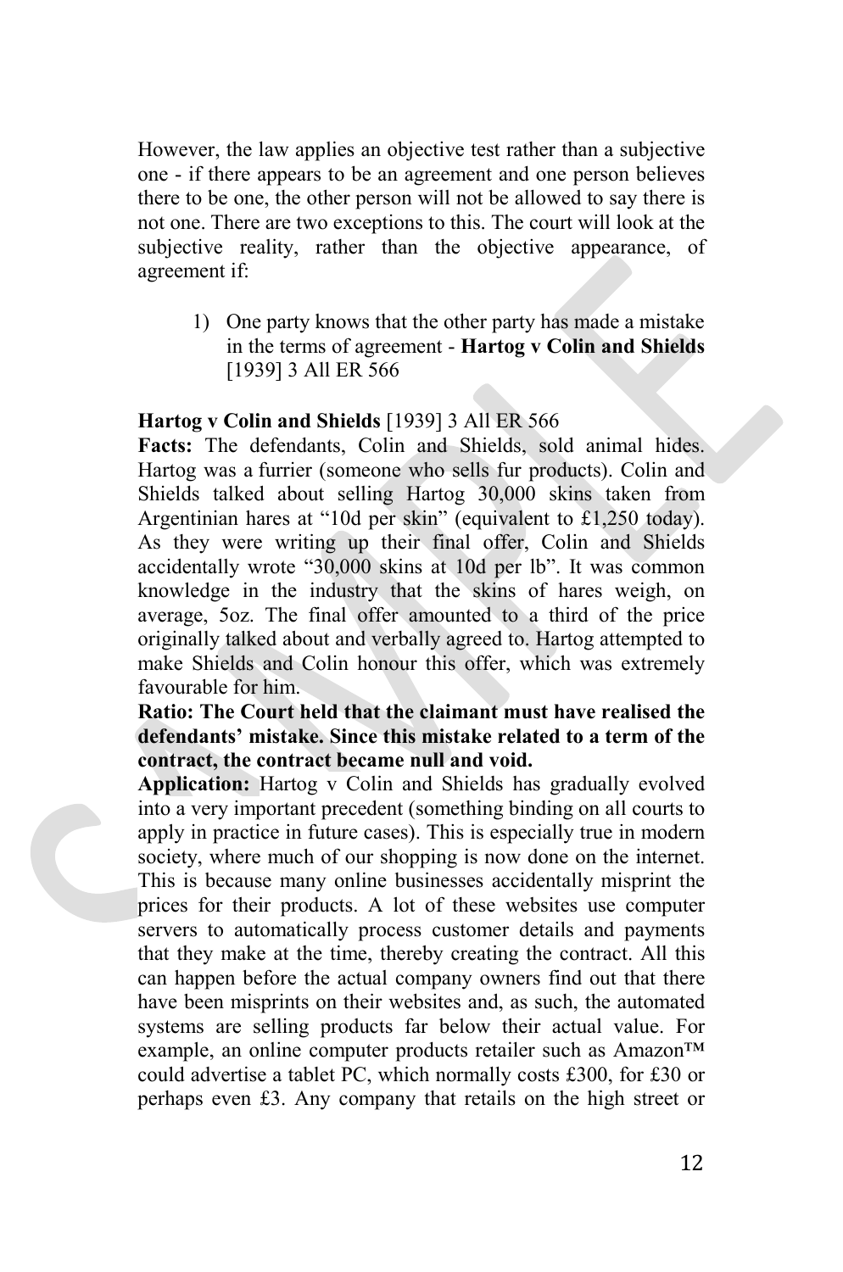However, the law applies an objective test rather than a subjective one - if there appears to be an agreement and one person believes there to be one, the other person will not be allowed to say there is not one. There are two exceptions to this. The court will look at the subjective reality, rather than the objective appearance, of agreement if:

1) One party knows that the other party has made a mistake in the terms of agreement - **Hartog v Colin and Shields** [1939] 3 All ER 566

# **Hartog v Colin and Shields** [1939] 3 All ER 566

**Facts:** The defendants, Colin and Shields, sold animal hides. Hartog was a furrier (someone who sells fur products). Colin and Shields talked about selling Hartog 30,000 skins taken from Argentinian hares at "10d per skin" (equivalent to £1,250 today). As they were writing up their final offer, Colin and Shields accidentally wrote "30,000 skins at 10d per lb". It was common knowledge in the industry that the skins of hares weigh, on average, 5oz. The final offer amounted to a third of the price originally talked about and verbally agreed to. Hartog attempted to make Shields and Colin honour this offer, which was extremely favourable for him.

**Ratio: The Court held that the claimant must have realised the defendants' mistake. Since this mistake related to a term of the contract, the contract became null and void.** 

**Application:** Hartog v Colin and Shields has gradually evolved into a very important precedent (something binding on all courts to apply in practice in future cases). This is especially true in modern society, where much of our shopping is now done on the internet. This is because many online businesses accidentally misprint the prices for their products. A lot of these websites use computer servers to automatically process customer details and payments that they make at the time, thereby creating the contract. All this can happen before the actual company owners find out that there have been misprints on their websites and, as such, the automated systems are selling products far below their actual value. For example, an online computer products retailer such as Amazon™ could advertise a tablet PC, which normally costs £300, for £30 or perhaps even £3. Any company that retails on the high street or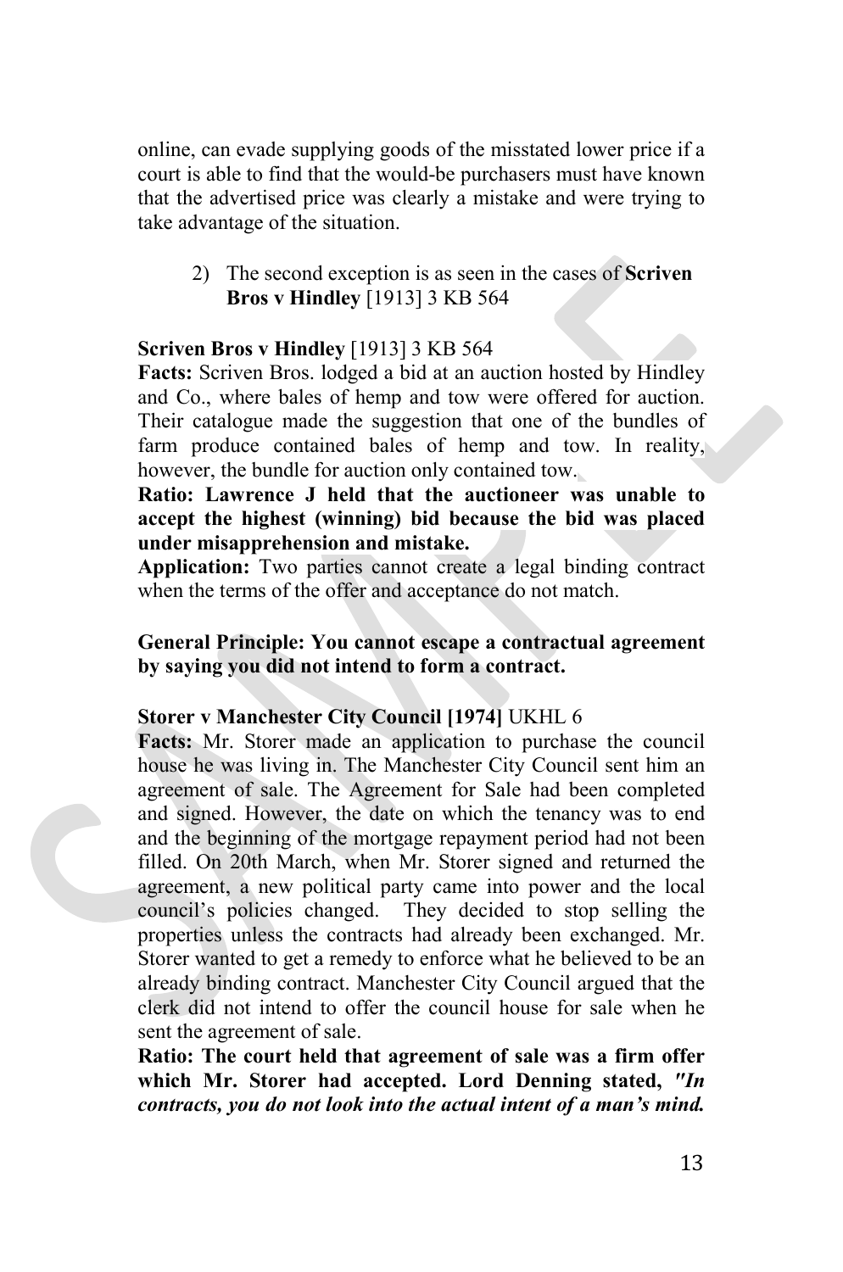online, can evade supplying goods of the misstated lower price if a court is able to find that the would-be purchasers must have known that the advertised price was clearly a mistake and were trying to take advantage of the situation.

2) The second exception is as seen in the cases of **Scriven Bros v Hindley** [1913] 3 KB 564

# **Scriven Bros v Hindley** [1913] 3 KB 564

**Facts:** Scriven Bros. lodged a bid at an auction hosted by Hindley and Co., where bales of hemp and tow were offered for auction. Their catalogue made the suggestion that one of the bundles of farm produce contained bales of hemp and tow. In reality, however, the bundle for auction only contained tow.

**Ratio: Lawrence J held that the auctioneer was unable to accept the highest (winning) bid because the bid was placed under misapprehension and mistake.**

**Application:** Two parties cannot create a legal binding contract when the terms of the offer and acceptance do not match.

# **General Principle: You cannot escape a contractual agreement by saying you did not intend to form a contract.**

# **Storer v Manchester City Council [1974]** UKHL 6

**Facts:** Mr. Storer made an application to purchase the council house he was living in. The Manchester City Council sent him an agreement of sale. The Agreement for Sale had been completed and signed. However, the date on which the tenancy was to end and the beginning of the mortgage repayment period had not been filled. On 20th March, when Mr. Storer signed and returned the agreement, a new political party came into power and the local council's policies changed. They decided to stop selling the properties unless the contracts had already been exchanged. Mr. Storer wanted to get a remedy to enforce what he believed to be an already binding contract. Manchester City Council argued that the clerk did not intend to offer the council house for sale when he sent the agreement of sale.

**Ratio: The court held that agreement of sale was a firm offer which Mr. Storer had accepted. Lord Denning stated,** *"In contracts, you do not look into the actual intent of a man's mind.*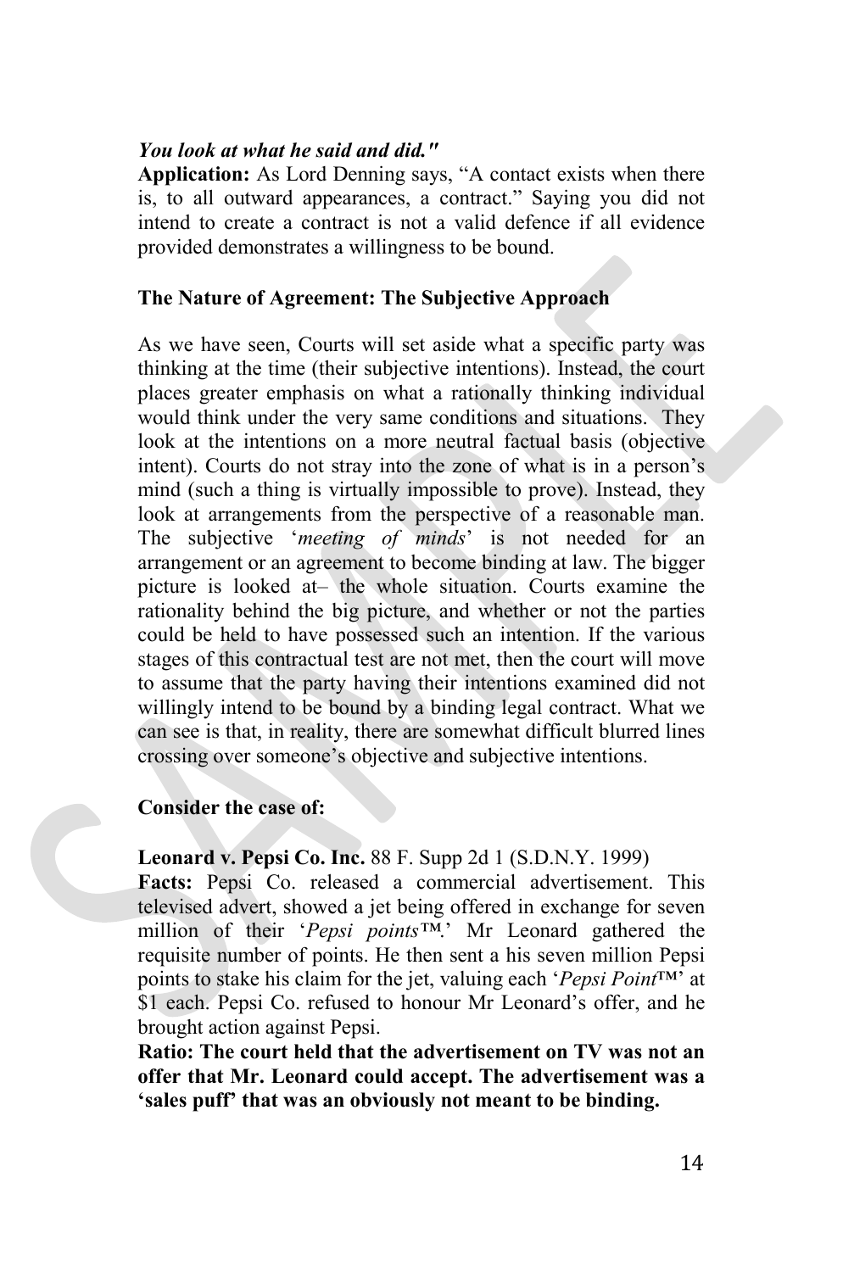#### *You look at what he said and did."*

**Application:** As Lord Denning says, "A contact exists when there is, to all outward appearances, a contract." Saying you did not intend to create a contract is not a valid defence if all evidence provided demonstrates a willingness to be bound.

#### **The Nature of Agreement: The Subjective Approach**

As we have seen, Courts will set aside what a specific party was thinking at the time (their subjective intentions). Instead, the court places greater emphasis on what a rationally thinking individual would think under the very same conditions and situations. They look at the intentions on a more neutral factual basis (objective intent). Courts do not stray into the zone of what is in a person's mind (such a thing is virtually impossible to prove). Instead, they look at arrangements from the perspective of a reasonable man. The subjective '*meeting of minds*' is not needed for an arrangement or an agreement to become binding at law. The bigger picture is looked at– the whole situation. Courts examine the rationality behind the big picture, and whether or not the parties could be held to have possessed such an intention. If the various stages of this contractual test are not met, then the court will move to assume that the party having their intentions examined did not willingly intend to be bound by a binding legal contract. What we can see is that, in reality, there are somewhat difficult blurred lines crossing over someone's objective and subjective intentions.

#### **Consider the case of:**

**Leonard v. Pepsi Co. Inc.** 88 F. Supp 2d 1 (S.D.N.Y. 1999)

**Facts:** Pepsi Co. released a commercial advertisement. This televised advert, showed a jet being offered in exchange for seven million of their '*Pepsi points™*.' Mr Leonard gathered the requisite number of points. He then sent a his seven million Pepsi points to stake his claim for the jet, valuing each '*Pepsi Point*™' at \$1 each. Pepsi Co. refused to honour Mr Leonard's offer, and he brought action against Pepsi.

**Ratio: The court held that the advertisement on TV was not an offer that Mr. Leonard could accept. The advertisement was a 'sales puff' that was an obviously not meant to be binding.**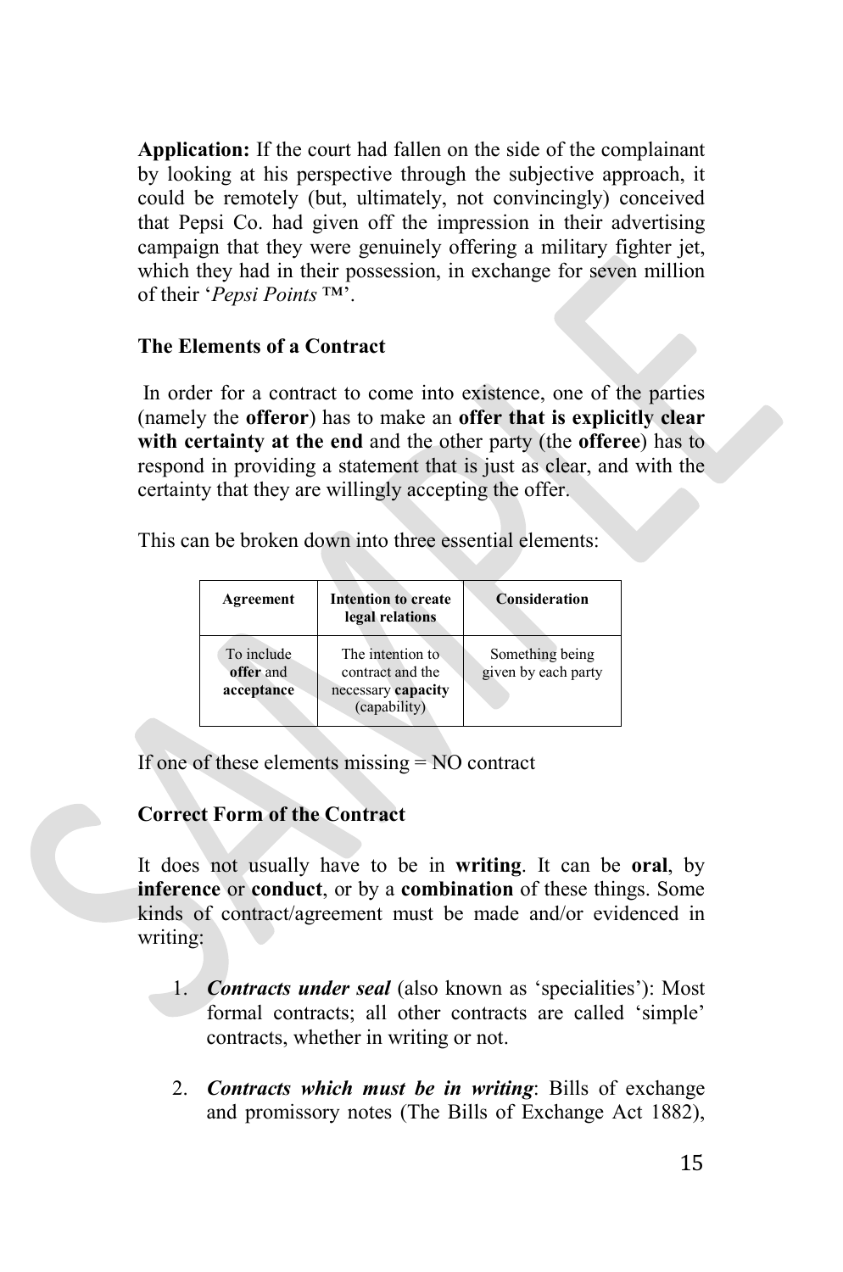**Application:** If the court had fallen on the side of the complainant by looking at his perspective through the subjective approach, it could be remotely (but, ultimately, not convincingly) conceived that Pepsi Co. had given off the impression in their advertising campaign that they were genuinely offering a military fighter jet, which they had in their possession, in exchange for seven million of their '*Pepsi Points* ™'.

# **The Elements of a Contract**

In order for a contract to come into existence, one of the parties (namely the **offeror**) has to make an **offer that is explicitly clear with certainty at the end** and the other party (the **offeree**) has to respond in providing a statement that is just as clear, and with the certainty that they are willingly accepting the offer.

This can be broken down into three essential elements:

| Agreement                             | Intention to create<br>legal relations                                     | <b>Consideration</b>                   |
|---------------------------------------|----------------------------------------------------------------------------|----------------------------------------|
| To include<br>offer and<br>acceptance | The intention to<br>contract and the<br>necessary capacity<br>(capability) | Something being<br>given by each party |

If one of these elements missing = NO contract

# **Correct Form of the Contract**

It does not usually have to be in **writing**. It can be **oral**, by **inference** or **conduct**, or by a **combination** of these things. Some kinds of contract/agreement must be made and/or evidenced in writing:

- 1. *Contracts under seal* (also known as 'specialities'): Most formal contracts; all other contracts are called 'simple' contracts, whether in writing or not.
- 2. *Contracts which must be in writing*: Bills of exchange and promissory notes (The Bills of Exchange Act 1882),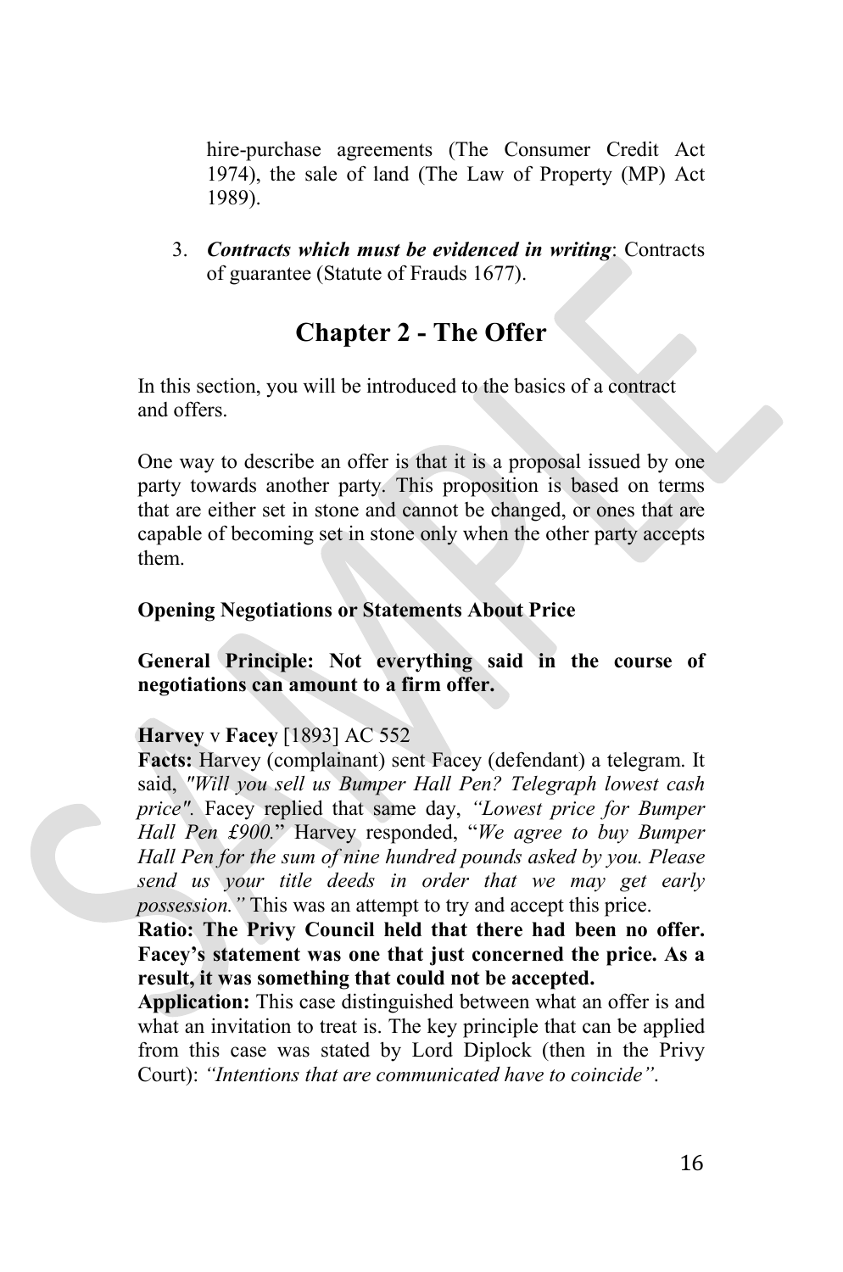hire-purchase agreements (The Consumer Credit Act 1974), the sale of land (The Law of Property (MP) Act 1989).

3. *Contracts which must be evidenced in writing*: Contracts of guarantee (Statute of Frauds 1677).

# **Chapter 2 - The Offer**

In this section, you will be introduced to the basics of a contract and offers.

One way to describe an offer is that it is a proposal issued by one party towards another party. This proposition is based on terms that are either set in stone and cannot be changed, or ones that are capable of becoming set in stone only when the other party accepts them.

# **Opening Negotiations or Statements About Price**

**General Principle: Not everything said in the course of negotiations can amount to a firm offer.** 

# **Harvey** v **Facey** [1893] AC 552

**Facts:** Harvey (complainant) sent Facey (defendant) a telegram. It said, *"Will you sell us Bumper Hall Pen? Telegraph lowest cash price".* Facey replied that same day, *"Lowest price for Bumper Hall Pen £900.*" Harvey responded, "*We agree to buy Bumper Hall Pen for the sum of nine hundred pounds asked by you. Please send us your title deeds in order that we may get early possession."* This was an attempt to try and accept this price.

**Ratio: The Privy Council held that there had been no offer. Facey's statement was one that just concerned the price. As a result, it was something that could not be accepted.** 

**Application:** This case distinguished between what an offer is and what an invitation to treat is. The key principle that can be applied from this case was stated by Lord Diplock (then in the Privy Court): *"Intentions that are communicated have to coincide"*.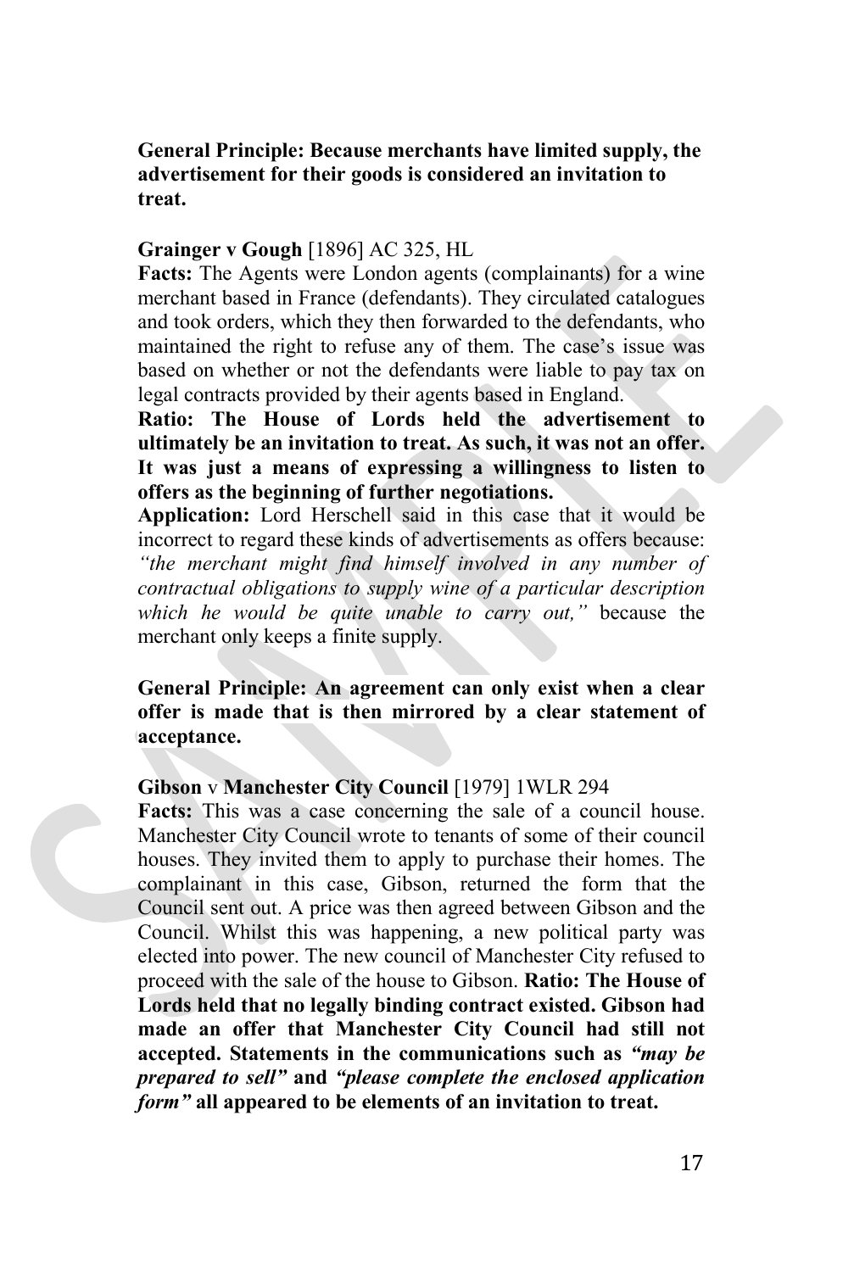# **General Principle: Because merchants have limited supply, the advertisement for their goods is considered an invitation to treat.**

#### **Grainger v Gough** [1896] AC 325, HL

**Facts:** The Agents were London agents (complainants) for a wine merchant based in France (defendants). They circulated catalogues and took orders, which they then forwarded to the defendants, who maintained the right to refuse any of them. The case's issue was based on whether or not the defendants were liable to pay tax on legal contracts provided by their agents based in England.

**Ratio: The House of Lords held the advertisement to ultimately be an invitation to treat. As such, it was not an offer. It was just a means of expressing a willingness to listen to offers as the beginning of further negotiations.** 

**Application:** Lord Herschell said in this case that it would be incorrect to regard these kinds of advertisements as offers because: *"the merchant might find himself involved in any number of contractual obligations to supply wine of a particular description which he would be quite unable to carry out,"* because the merchant only keeps a finite supply.

**General Principle: An agreement can only exist when a clear offer is made that is then mirrored by a clear statement of acceptance.**

# **Gibson** v **Manchester City Council** [1979] 1WLR 294

**Facts:** This was a case concerning the sale of a council house. Manchester City Council wrote to tenants of some of their council houses. They invited them to apply to purchase their homes. The complainant in this case, Gibson, returned the form that the Council sent out. A price was then agreed between Gibson and the Council. Whilst this was happening, a new political party was elected into power. The new council of Manchester City refused to proceed with the sale of the house to Gibson. **Ratio: The House of Lords held that no legally binding contract existed. Gibson had made an offer that Manchester City Council had still not accepted. Statements in the communications such as** *"may be prepared to sell"* **and** *"please complete the enclosed application form"* **all appeared to be elements of an invitation to treat.**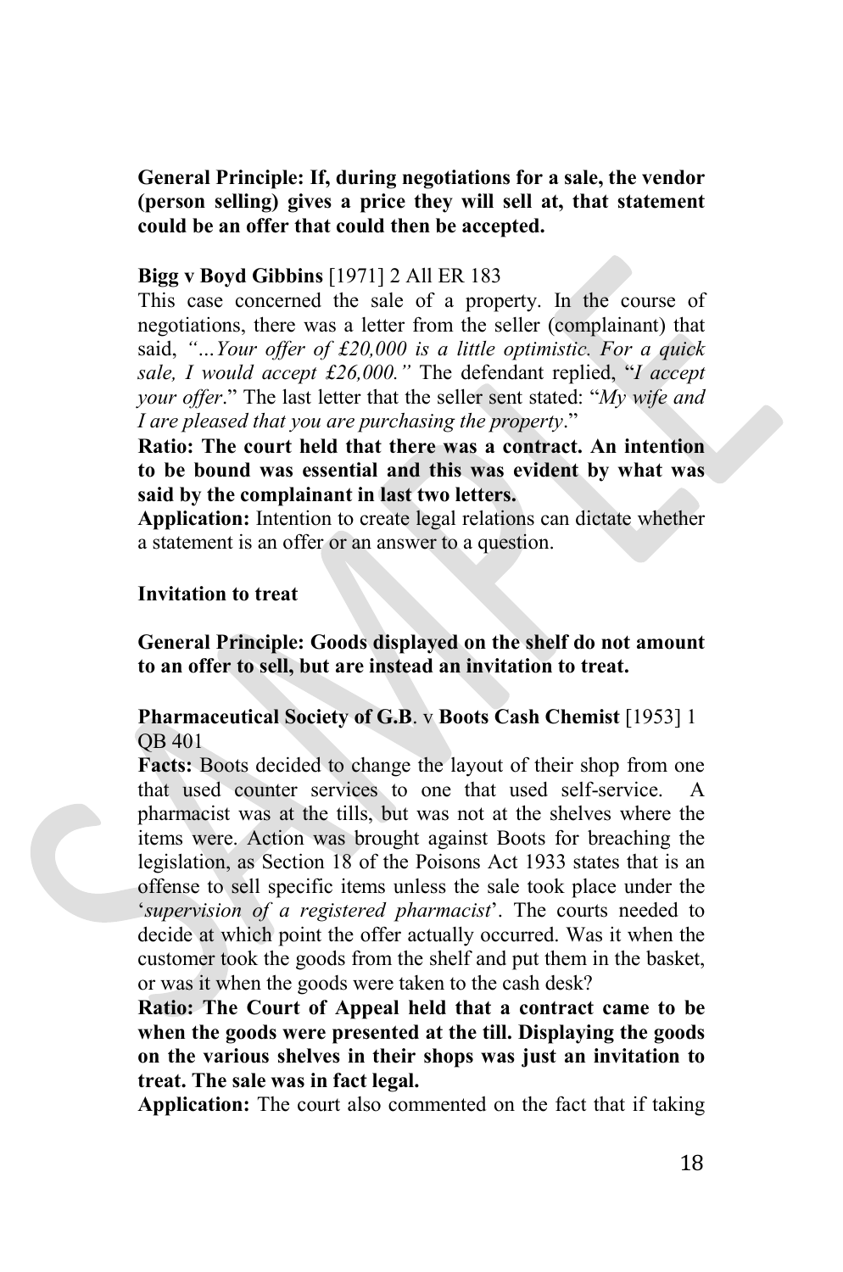**General Principle: If, during negotiations for a sale, the vendor (person selling) gives a price they will sell at, that statement could be an offer that could then be accepted.**

#### **Bigg v Boyd Gibbins** [1971] 2 All ER 183

This case concerned the sale of a property. In the course of negotiations, there was a letter from the seller (complainant) that said, *"…Your offer of £20,000 is a little optimistic. For a quick sale, I would accept £26,000."* The defendant replied, "*I accept your offer*." The last letter that the seller sent stated: "*My wife and I are pleased that you are purchasing the property*."

**Ratio: The court held that there was a contract. An intention to be bound was essential and this was evident by what was said by the complainant in last two letters.** 

**Application:** Intention to create legal relations can dictate whether a statement is an offer or an answer to a question.

#### **Invitation to treat**

**General Principle: Goods displayed on the shelf do not amount to an offer to sell, but are instead an invitation to treat.** 

# **Pharmaceutical Society of G.B**. v **Boots Cash Chemist** [1953] 1 QB 401

**Facts:** Boots decided to change the layout of their shop from one that used counter services to one that used self-service. A pharmacist was at the tills, but was not at the shelves where the items were. Action was brought against Boots for breaching the legislation, as Section 18 of the Poisons Act 1933 states that is an offense to sell specific items unless the sale took place under the '*supervision of a registered pharmacist*'. The courts needed to decide at which point the offer actually occurred. Was it when the customer took the goods from the shelf and put them in the basket, or was it when the goods were taken to the cash desk?

**Ratio: The Court of Appeal held that a contract came to be when the goods were presented at the till. Displaying the goods on the various shelves in their shops was just an invitation to treat. The sale was in fact legal.** 

**Application:** The court also commented on the fact that if taking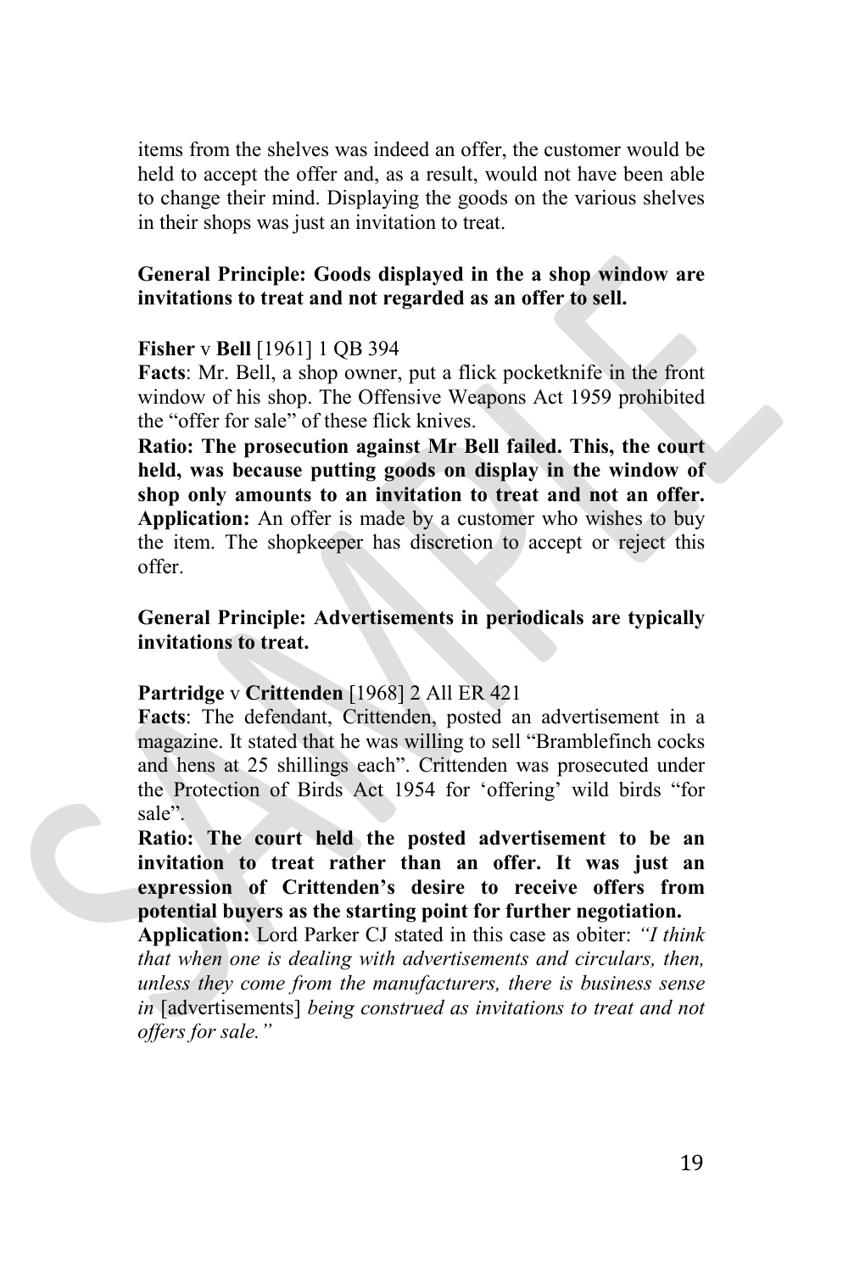items from the shelves was indeed an offer, the customer would be held to accept the offer and, as a result, would not have been able to change their mind. Displaying the goods on the various shelves in their shops was just an invitation to treat.

# **General Principle: Goods displayed in the a shop window are invitations to treat and not regarded as an offer to sell.**

#### **Fisher** v **Bell** [1961] 1 QB 394

**Facts**: Mr. Bell, a shop owner, put a flick pocketknife in the front window of his shop. The Offensive Weapons Act 1959 prohibited the "offer for sale" of these flick knives.

**Ratio: The prosecution against Mr Bell failed. This, the court held, was because putting goods on display in the window of shop only amounts to an invitation to treat and not an offer. Application:** An offer is made by a customer who wishes to buy the item. The shopkeeper has discretion to accept or reject this offer.

# **General Principle: Advertisements in periodicals are typically invitations to treat.**

# **Partridge** v **Crittenden** [1968] 2 All ER 421

**Facts**: The defendant, Crittenden, posted an advertisement in a magazine. It stated that he was willing to sell "Bramblefinch cocks and hens at 25 shillings each". Crittenden was prosecuted under the Protection of Birds Act 1954 for 'offering' wild birds "for sale".

**Ratio: The court held the posted advertisement to be an invitation to treat rather than an offer. It was just an expression of Crittenden's desire to receive offers from potential buyers as the starting point for further negotiation.**

**Application:** Lord Parker CJ stated in this case as obiter: *"I think that when one is dealing with advertisements and circulars, then, unless they come from the manufacturers, there is business sense in* [advertisements] *being construed as invitations to treat and not offers for sale."*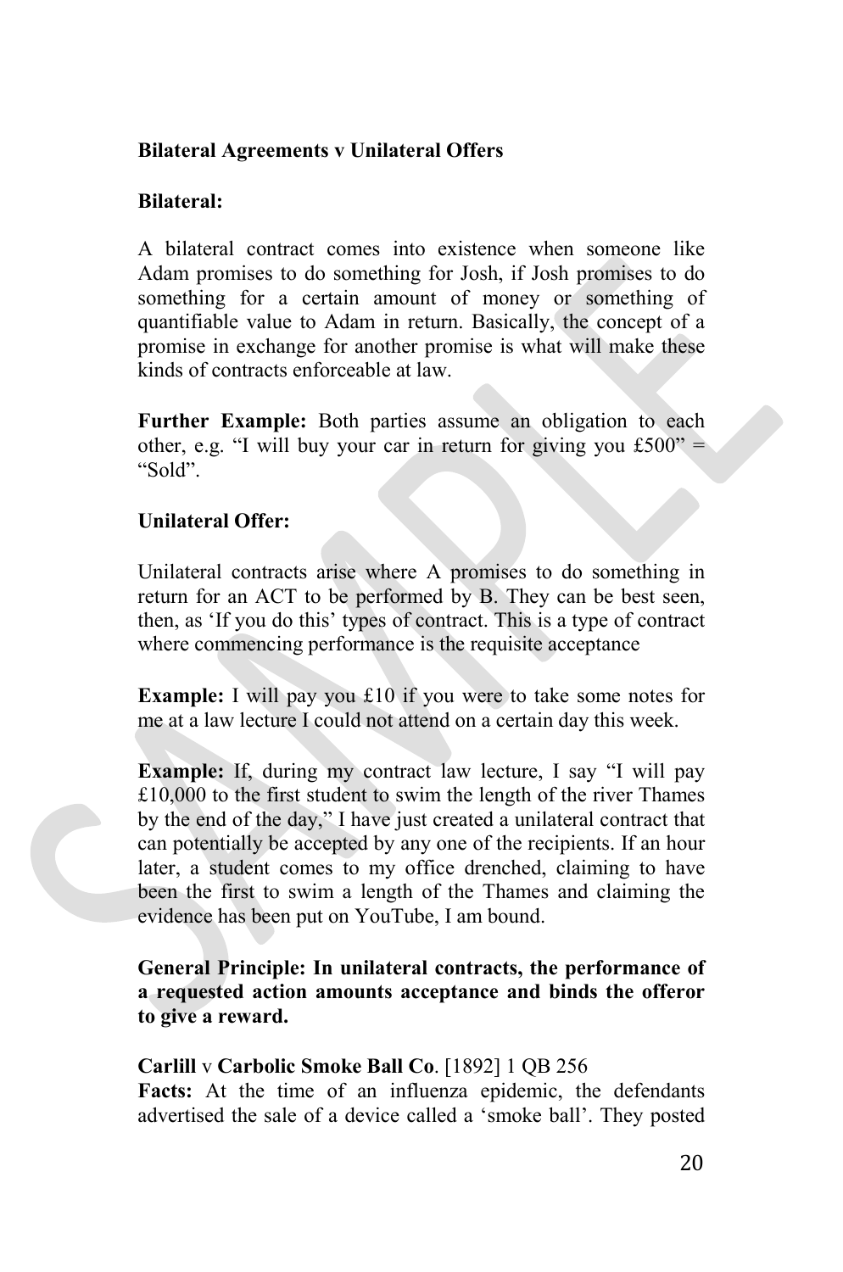# **Bilateral Agreements v Unilateral Offers**

# **Bilateral:**

A bilateral contract comes into existence when someone like Adam promises to do something for Josh, if Josh promises to do something for a certain amount of money or something of quantifiable value to Adam in return. Basically, the concept of a promise in exchange for another promise is what will make these kinds of contracts enforceable at law.

**Further Example:** Both parties assume an obligation to each other, e.g. "I will buy your car in return for giving you  $£500"$  = "Sold".

# **Unilateral Offer:**

Unilateral contracts arise where A promises to do something in return for an ACT to be performed by B. They can be best seen, then, as 'If you do this' types of contract. This is a type of contract where commencing performance is the requisite acceptance

**Example:** I will pay you £10 if you were to take some notes for me at a law lecture I could not attend on a certain day this week.

**Example:** If, during my contract law lecture, I say "I will pay £10,000 to the first student to swim the length of the river Thames by the end of the day," I have just created a unilateral contract that can potentially be accepted by any one of the recipients. If an hour later, a student comes to my office drenched, claiming to have been the first to swim a length of the Thames and claiming the evidence has been put on YouTube, I am bound.

**General Principle: In unilateral contracts, the performance of a requested action amounts acceptance and binds the offeror to give a reward.** 

# **Carlill** v **Carbolic Smoke Ball Co**. [1892] 1 QB 256

**Facts:** At the time of an influenza epidemic, the defendants advertised the sale of a device called a 'smoke ball'. They posted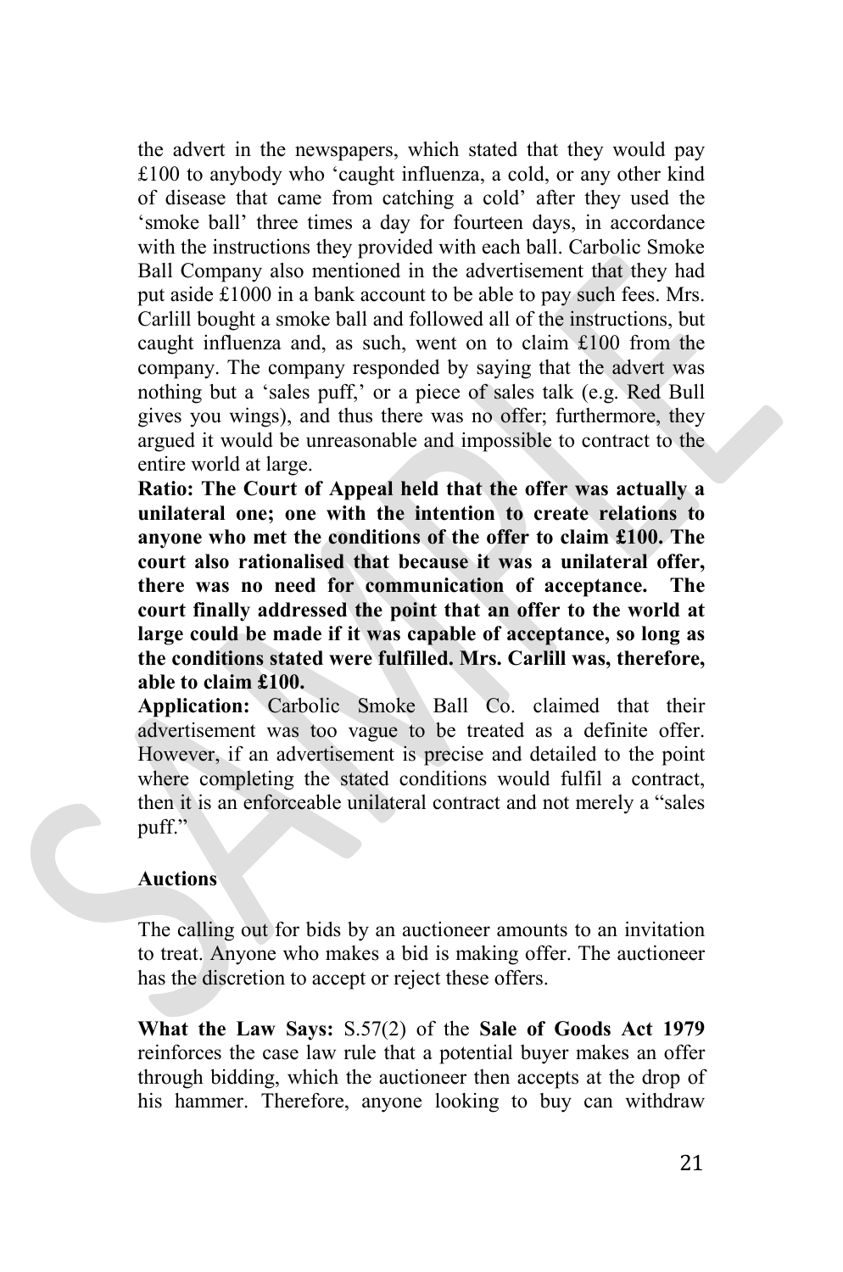the advert in the newspapers, which stated that they would pay £100 to anybody who 'caught influenza, a cold, or any other kind of disease that came from catching a cold' after they used the 'smoke ball' three times a day for fourteen days, in accordance with the instructions they provided with each ball. Carbolic Smoke Ball Company also mentioned in the advertisement that they had put aside £1000 in a bank account to be able to pay such fees. Mrs. Carlill bought a smoke ball and followed all of the instructions, but caught influenza and, as such, went on to claim £100 from the company. The company responded by saying that the advert was nothing but a 'sales puff,' or a piece of sales talk (e.g. Red Bull gives you wings), and thus there was no offer; furthermore, they argued it would be unreasonable and impossible to contract to the entire world at large.

**Ratio: The Court of Appeal held that the offer was actually a unilateral one; one with the intention to create relations to anyone who met the conditions of the offer to claim £100. The court also rationalised that because it was a unilateral offer, there was no need for communication of acceptance. The court finally addressed the point that an offer to the world at large could be made if it was capable of acceptance, so long as the conditions stated were fulfilled. Mrs. Carlill was, therefore, able to claim £100.** 

**Application:** Carbolic Smoke Ball Co. claimed that their advertisement was too vague to be treated as a definite offer. However, if an advertisement is precise and detailed to the point where completing the stated conditions would fulfil a contract, then it is an enforceable unilateral contract and not merely a "sales puff."

#### **Auctions**

The calling out for bids by an auctioneer amounts to an invitation to treat. Anyone who makes a bid is making offer. The auctioneer has the discretion to accept or reject these offers.

**What the Law Says:** S.57(2) of the **Sale of Goods Act 1979** reinforces the case law rule that a potential buyer makes an offer through bidding, which the auctioneer then accepts at the drop of his hammer. Therefore, anyone looking to buy can withdraw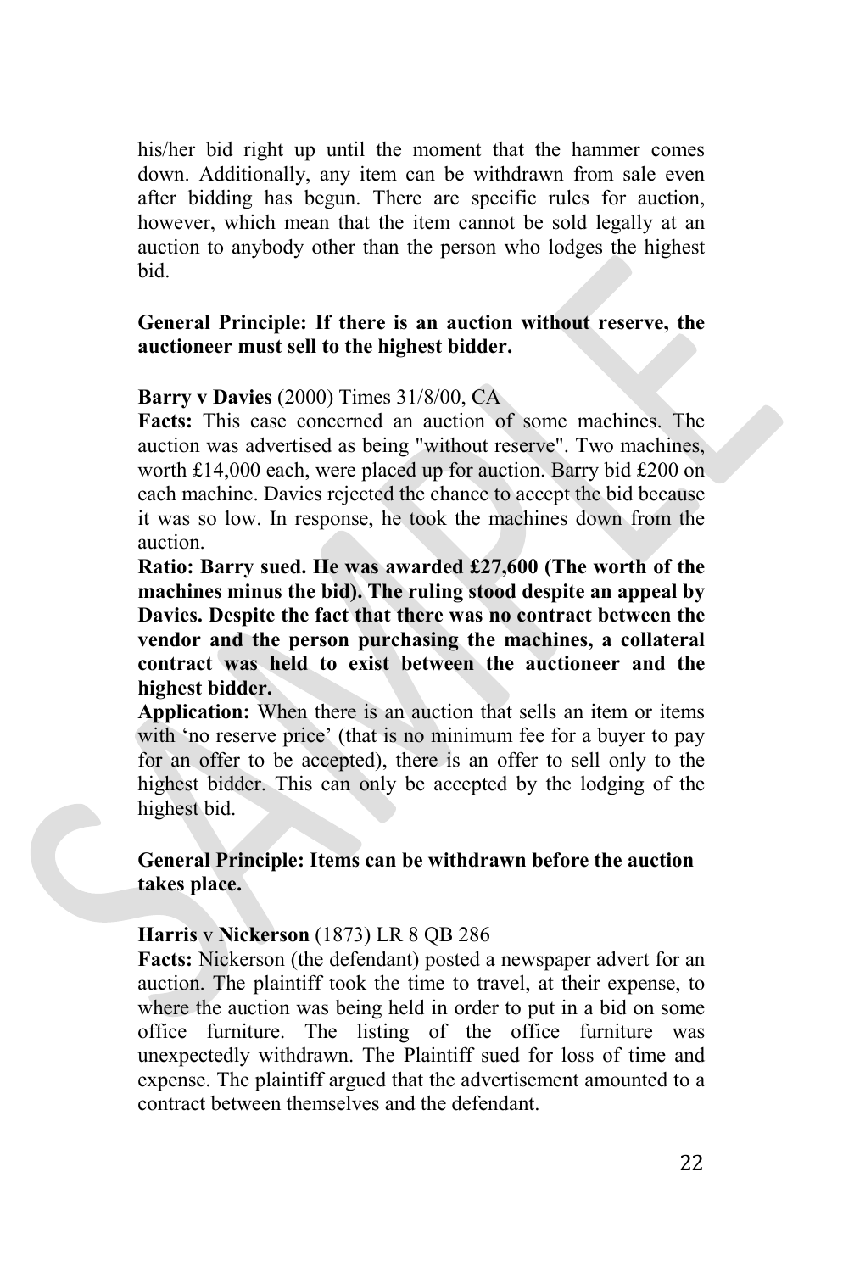his/her bid right up until the moment that the hammer comes down. Additionally, any item can be withdrawn from sale even after bidding has begun. There are specific rules for auction, however, which mean that the item cannot be sold legally at an auction to anybody other than the person who lodges the highest bid.

# **General Principle: If there is an auction without reserve, the auctioneer must sell to the highest bidder.**

# **Barry v Davies** (2000) Times 31/8/00, CA

**Facts:** This case concerned an auction of some machines. The auction was advertised as being "without reserve". Two machines, worth £14,000 each, were placed up for auction. Barry bid £200 on each machine. Davies rejected the chance to accept the bid because it was so low. In response, he took the machines down from the auction.

**Ratio: Barry sued. He was awarded £27,600 (The worth of the machines minus the bid). The ruling stood despite an appeal by Davies. Despite the fact that there was no contract between the vendor and the person purchasing the machines, a collateral contract was held to exist between the auctioneer and the highest bidder.**

**Application:** When there is an auction that sells an item or items with 'no reserve price' (that is no minimum fee for a buyer to pay for an offer to be accepted), there is an offer to sell only to the highest bidder. This can only be accepted by the lodging of the highest bid.

# **General Principle: Items can be withdrawn before the auction takes place.**

# **Harris** v **Nickerson** (1873) LR 8 QB 286

**Facts:** Nickerson (the defendant) posted a newspaper advert for an auction. The plaintiff took the time to travel, at their expense, to where the auction was being held in order to put in a bid on some office furniture. The listing of the office furniture was unexpectedly withdrawn. The Plaintiff sued for loss of time and expense. The plaintiff argued that the advertisement amounted to a contract between themselves and the defendant.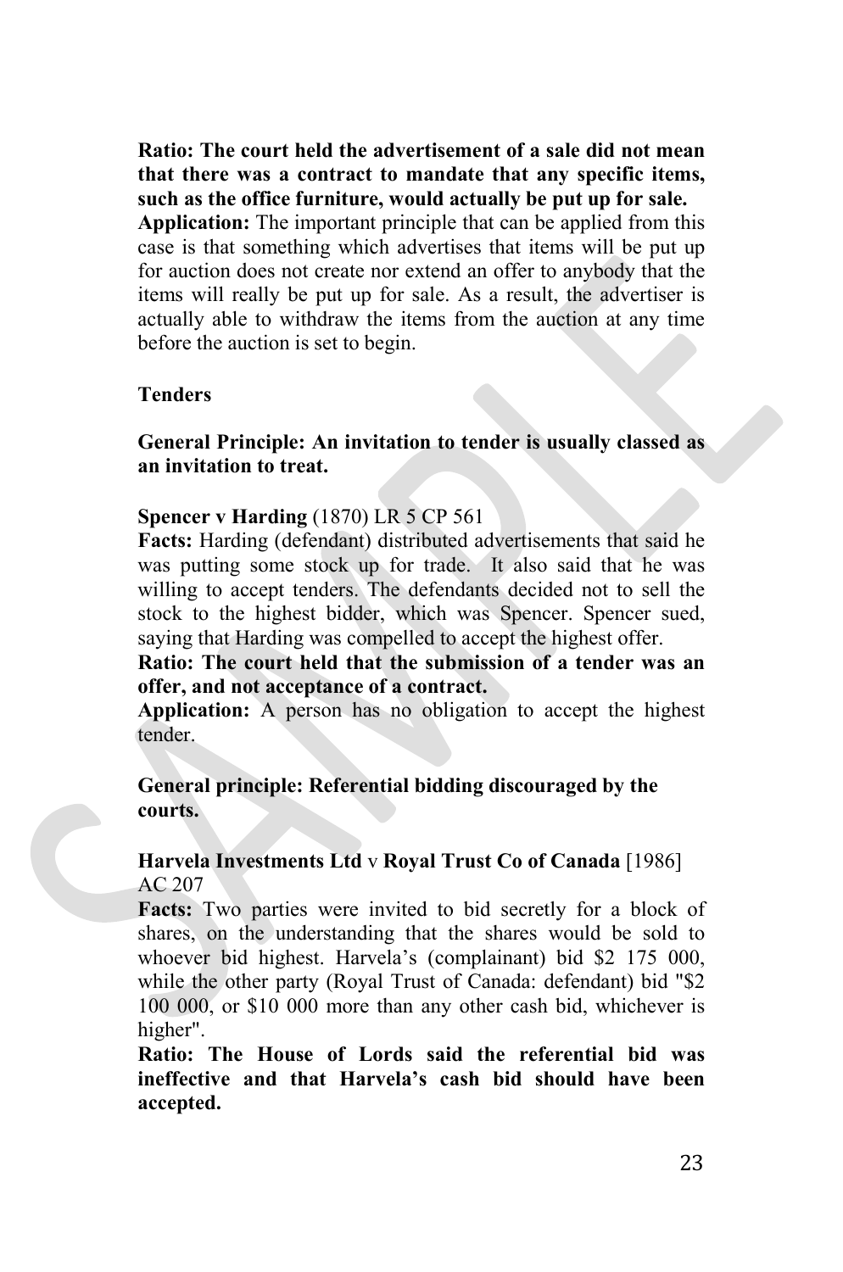**Ratio: The court held the advertisement of a sale did not mean that there was a contract to mandate that any specific items, such as the office furniture, would actually be put up for sale. Application:** The important principle that can be applied from this case is that something which advertises that items will be put up for auction does not create nor extend an offer to anybody that the items will really be put up for sale. As a result, the advertiser is actually able to withdraw the items from the auction at any time before the auction is set to begin.

#### **Tenders**

# **General Principle: An invitation to tender is usually classed as an invitation to treat.**

#### **Spencer v Harding** (1870) LR 5 CP 561

**Facts:** Harding (defendant) distributed advertisements that said he was putting some stock up for trade. It also said that he was willing to accept tenders. The defendants decided not to sell the stock to the highest bidder, which was Spencer. Spencer sued, saying that Harding was compelled to accept the highest offer.

# **Ratio: The court held that the submission of a tender was an offer, and not acceptance of a contract.**

**Application:** A person has no obligation to accept the highest tender.

# **General principle: Referential bidding discouraged by the courts.**

#### **Harvela Investments Ltd** v **Royal Trust Co of Canada** [1986] AC 207

**Facts:** Two parties were invited to bid secretly for a block of shares, on the understanding that the shares would be sold to whoever bid highest. Harvela's (complainant) bid \$2 175 000, while the other party (Royal Trust of Canada: defendant) bid "\$2 100 000, or \$10 000 more than any other cash bid, whichever is higher".

**Ratio: The House of Lords said the referential bid was ineffective and that Harvela's cash bid should have been accepted.**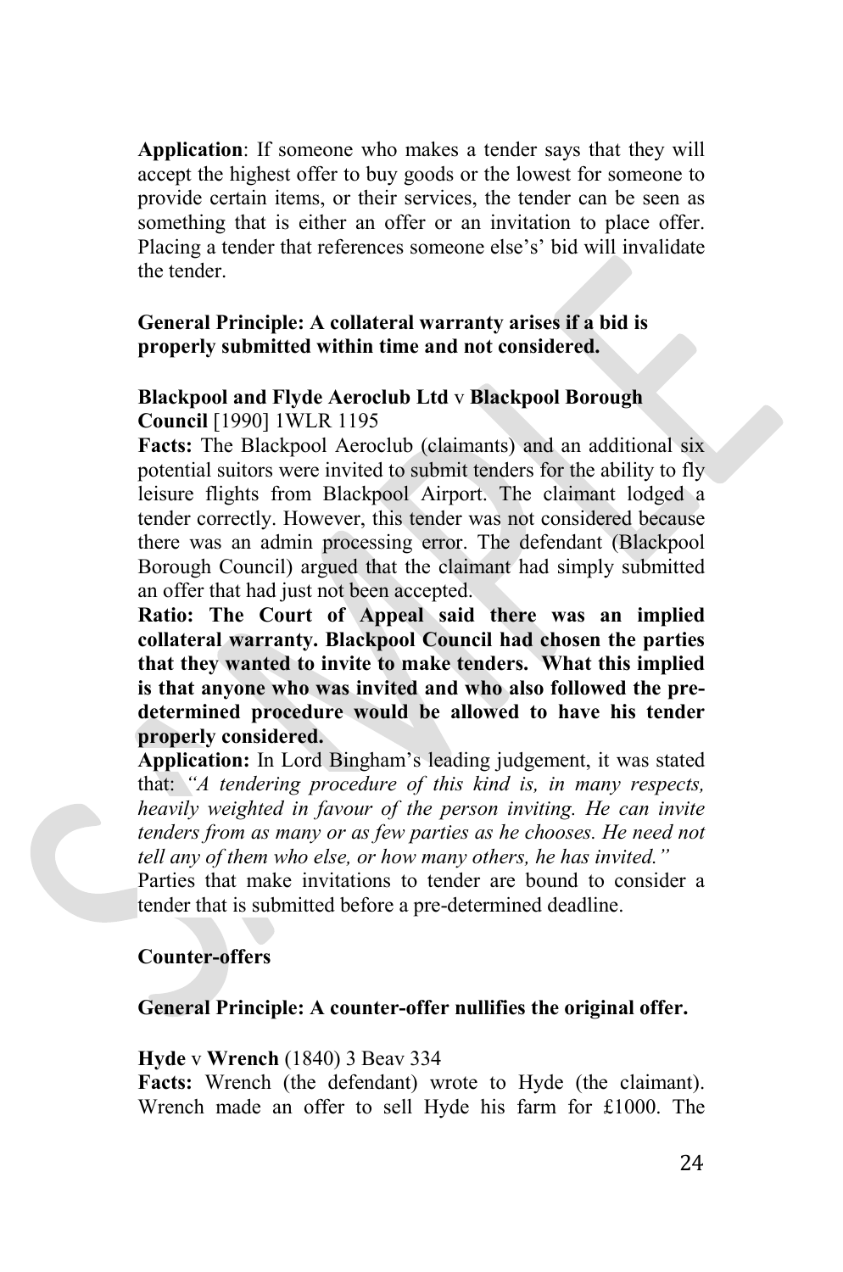**Application**: If someone who makes a tender says that they will accept the highest offer to buy goods or the lowest for someone to provide certain items, or their services, the tender can be seen as something that is either an offer or an invitation to place offer. Placing a tender that references someone else's' bid will invalidate the tender.

# **General Principle: A collateral warranty arises if a bid is properly submitted within time and not considered.**

# **Blackpool and Flyde Aeroclub Ltd** v **Blackpool Borough Council** [1990] 1WLR 1195

**Facts:** The Blackpool Aeroclub (claimants) and an additional six potential suitors were invited to submit tenders for the ability to fly leisure flights from Blackpool Airport. The claimant lodged a tender correctly. However, this tender was not considered because there was an admin processing error. The defendant (Blackpool Borough Council) argued that the claimant had simply submitted an offer that had just not been accepted.

**Ratio: The Court of Appeal said there was an implied collateral warranty. Blackpool Council had chosen the parties that they wanted to invite to make tenders. What this implied is that anyone who was invited and who also followed the predetermined procedure would be allowed to have his tender properly considered.** 

**Application:** In Lord Bingham's leading judgement, it was stated that: *"A tendering procedure of this kind is, in many respects, heavily weighted in favour of the person inviting. He can invite tenders from as many or as few parties as he chooses. He need not tell any of them who else, or how many others, he has invited."*

Parties that make invitations to tender are bound to consider a tender that is submitted before a pre-determined deadline.

# **Counter-offers**

# **General Principle: A counter-offer nullifies the original offer.**

#### **Hyde** v **Wrench** (1840) 3 Beav 334

**Facts:** Wrench (the defendant) wrote to Hyde (the claimant). Wrench made an offer to sell Hyde his farm for £1000. The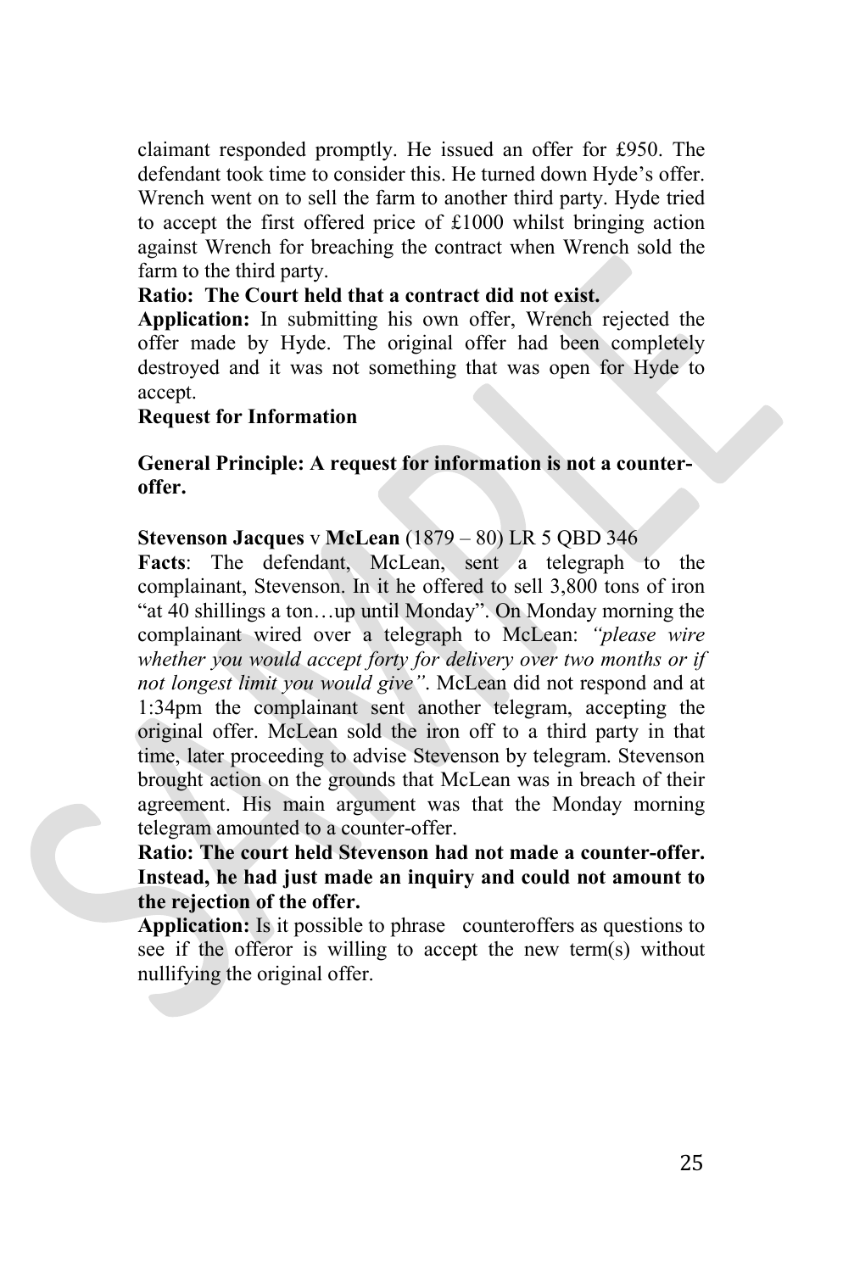claimant responded promptly. He issued an offer for £950. The defendant took time to consider this. He turned down Hyde's offer. Wrench went on to sell the farm to another third party. Hyde tried to accept the first offered price of £1000 whilst bringing action against Wrench for breaching the contract when Wrench sold the farm to the third party.

# **Ratio: The Court held that a contract did not exist.**

**Application:** In submitting his own offer, Wrench rejected the offer made by Hyde. The original offer had been completely destroyed and it was not something that was open for Hyde to accept.

# **Request for Information**

**General Principle: A request for information is not a counteroffer.**

# **Stevenson Jacques** v **McLean** (1879 – 80) LR 5 QBD 346

**Facts**: The defendant, McLean, sent a telegraph to the complainant, Stevenson. In it he offered to sell 3,800 tons of iron "at 40 shillings a ton…up until Monday". On Monday morning the complainant wired over a telegraph to McLean: *"please wire whether you would accept forty for delivery over two months or if not longest limit you would give"*. McLean did not respond and at 1:34pm the complainant sent another telegram, accepting the original offer. McLean sold the iron off to a third party in that time, later proceeding to advise Stevenson by telegram. Stevenson brought action on the grounds that McLean was in breach of their agreement. His main argument was that the Monday morning telegram amounted to a counter-offer.

**Ratio: The court held Stevenson had not made a counter-offer. Instead, he had just made an inquiry and could not amount to the rejection of the offer.** 

**Application:** Is it possible to phrase counteroffers as questions to see if the offeror is willing to accept the new term(s) without nullifying the original offer.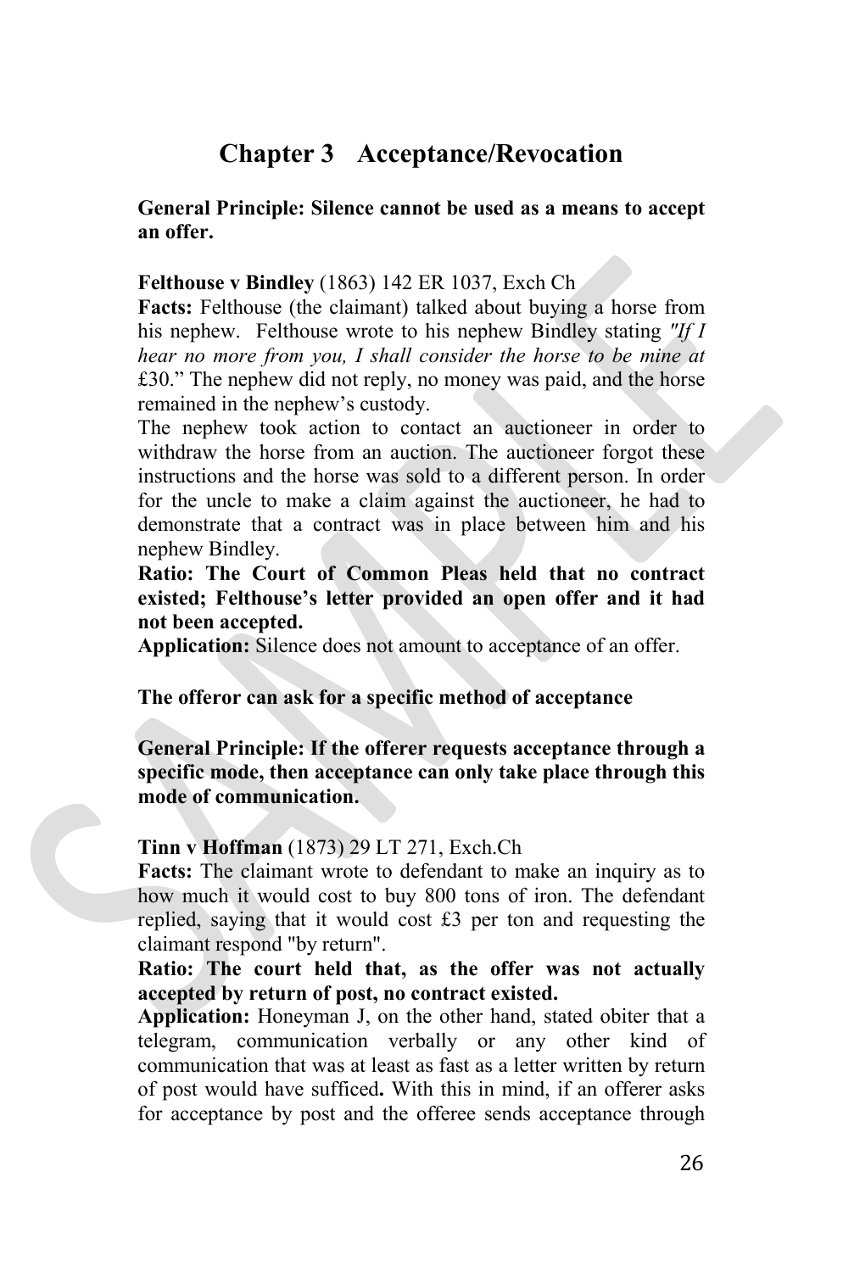# **Chapter 3 Acceptance/Revocation**

# **General Principle: Silence cannot be used as a means to accept an offer.**

#### **Felthouse v Bindley** (1863) 142 ER 1037, Exch Ch

**Facts:** Felthouse (the claimant) talked about buying a horse from his nephew. Felthouse wrote to his nephew Bindley stating *"If I hear no more from you, I shall consider the horse to be mine at*  £30." The nephew did not reply, no money was paid, and the horse remained in the nephew's custody.

The nephew took action to contact an auctioneer in order to withdraw the horse from an auction. The auctioneer forgot these instructions and the horse was sold to a different person. In order for the uncle to make a claim against the auctioneer, he had to demonstrate that a contract was in place between him and his nephew Bindley.

**Ratio: The Court of Common Pleas held that no contract existed; Felthouse's letter provided an open offer and it had not been accepted.**

**Application:** Silence does not amount to acceptance of an offer.

#### **The offeror can ask for a specific method of acceptance**

**General Principle: If the offerer requests acceptance through a specific mode, then acceptance can only take place through this mode of communication.**

#### **Tinn v Hoffman** (1873) 29 LT 271, Exch.Ch

**Facts:** The claimant wrote to defendant to make an inquiry as to how much it would cost to buy 800 tons of iron. The defendant replied, saying that it would cost £3 per ton and requesting the claimant respond "by return".

# **Ratio: The court held that, as the offer was not actually accepted by return of post, no contract existed.**

**Application:** Honeyman J, on the other hand, stated obiter that a telegram, communication verbally or any other kind of communication that was at least as fast as a letter written by return of post would have sufficed**.** With this in mind, if an offerer asks for acceptance by post and the offeree sends acceptance through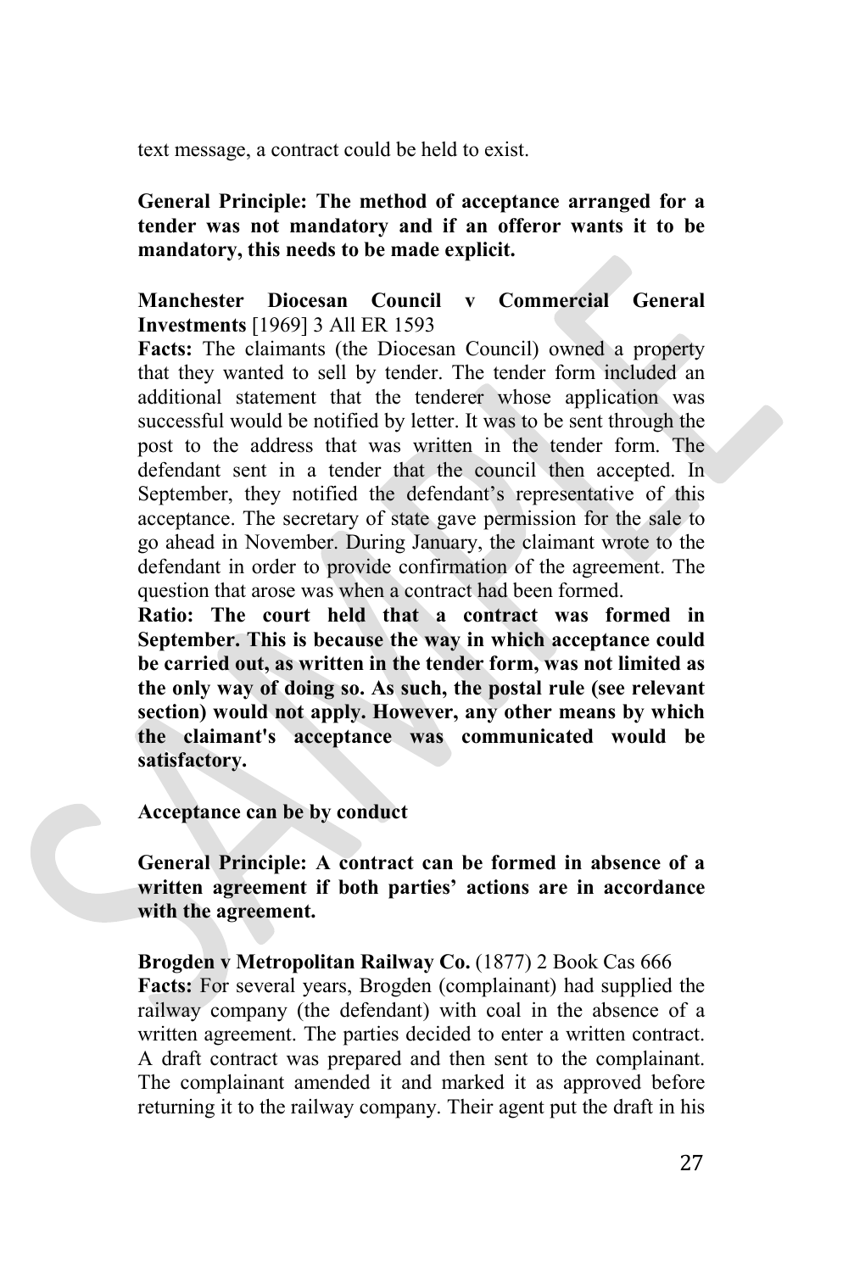text message, a contract could be held to exist.

**General Principle: The method of acceptance arranged for a tender was not mandatory and if an offeror wants it to be mandatory, this needs to be made explicit.**

# **Manchester Diocesan Council v Commercial General Investments** [1969] 3 All ER 1593

**Facts:** The claimants (the Diocesan Council) owned a property that they wanted to sell by tender. The tender form included an additional statement that the tenderer whose application was successful would be notified by letter. It was to be sent through the post to the address that was written in the tender form. The defendant sent in a tender that the council then accepted. In September, they notified the defendant's representative of this acceptance. The secretary of state gave permission for the sale to go ahead in November. During January, the claimant wrote to the defendant in order to provide confirmation of the agreement. The question that arose was when a contract had been formed.

**Ratio: The court held that a contract was formed in September. This is because the way in which acceptance could be carried out, as written in the tender form, was not limited as the only way of doing so. As such, the postal rule (see relevant section) would not apply. However, any other means by which the claimant's acceptance was communicated would be satisfactory.**

**Acceptance can be by conduct**

**General Principle: A contract can be formed in absence of a written agreement if both parties' actions are in accordance with the agreement.**

**Brogden v Metropolitan Railway Co.** (1877) 2 Book Cas 666 **Facts:** For several years, Brogden (complainant) had supplied the railway company (the defendant) with coal in the absence of a written agreement. The parties decided to enter a written contract. A draft contract was prepared and then sent to the complainant. The complainant amended it and marked it as approved before returning it to the railway company. Their agent put the draft in his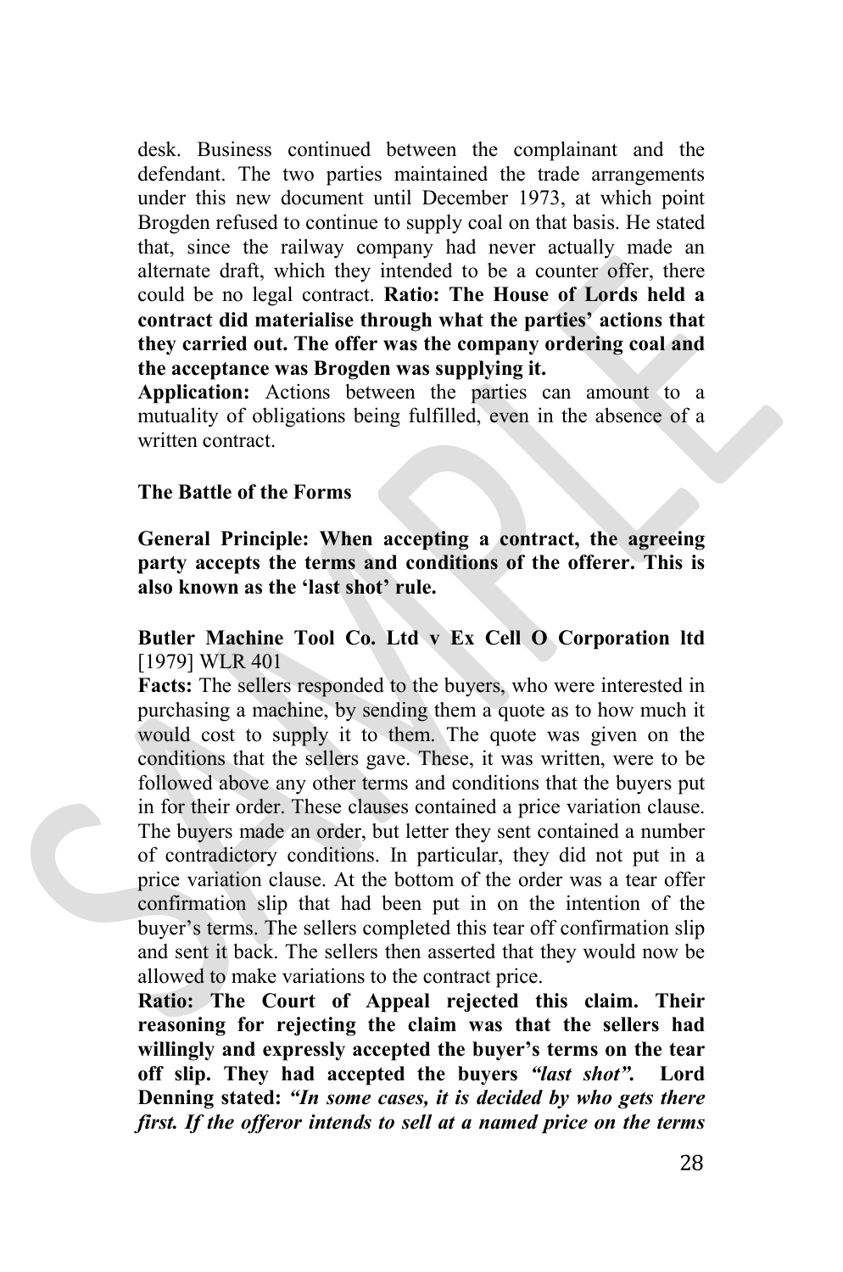desk. Business continued between the complainant and the defendant. The two parties maintained the trade arrangements under this new document until December 1973, at which point Brogden refused to continue to supply coal on that basis. He stated that, since the railway company had never actually made an alternate draft, which they intended to be a counter offer, there could be no legal contract. **Ratio: The House of Lords held a contract did materialise through what the parties' actions that they carried out. The offer was the company ordering coal and the acceptance was Brogden was supplying it.**

**Application:** Actions between the parties can amount to a mutuality of obligations being fulfilled, even in the absence of a written contract.

#### **The Battle of the Forms**

**General Principle: When accepting a contract, the agreeing party accepts the terms and conditions of the offerer. This is also known as the 'last shot' rule.**

# **Butler Machine Tool Co. Ltd v Ex Cell O Corporation ltd**  [1979] WLR 401

**Facts:** The sellers responded to the buyers, who were interested in purchasing a machine, by sending them a quote as to how much it would cost to supply it to them. The quote was given on the conditions that the sellers gave. These, it was written, were to be followed above any other terms and conditions that the buyers put in for their order. These clauses contained a price variation clause. The buyers made an order, but letter they sent contained a number of contradictory conditions. In particular, they did not put in a price variation clause. At the bottom of the order was a tear offer confirmation slip that had been put in on the intention of the buyer's terms. The sellers completed this tear off confirmation slip and sent it back. The sellers then asserted that they would now be allowed to make variations to the contract price.

**Ratio: The Court of Appeal rejected this claim. Their reasoning for rejecting the claim was that the sellers had willingly and expressly accepted the buyer's terms on the tear off slip. They had accepted the buyers** *"last shot".* **Lord Denning stated:** *"In some cases, it is decided by who gets there first. If the offeror intends to sell at a named price on the terms*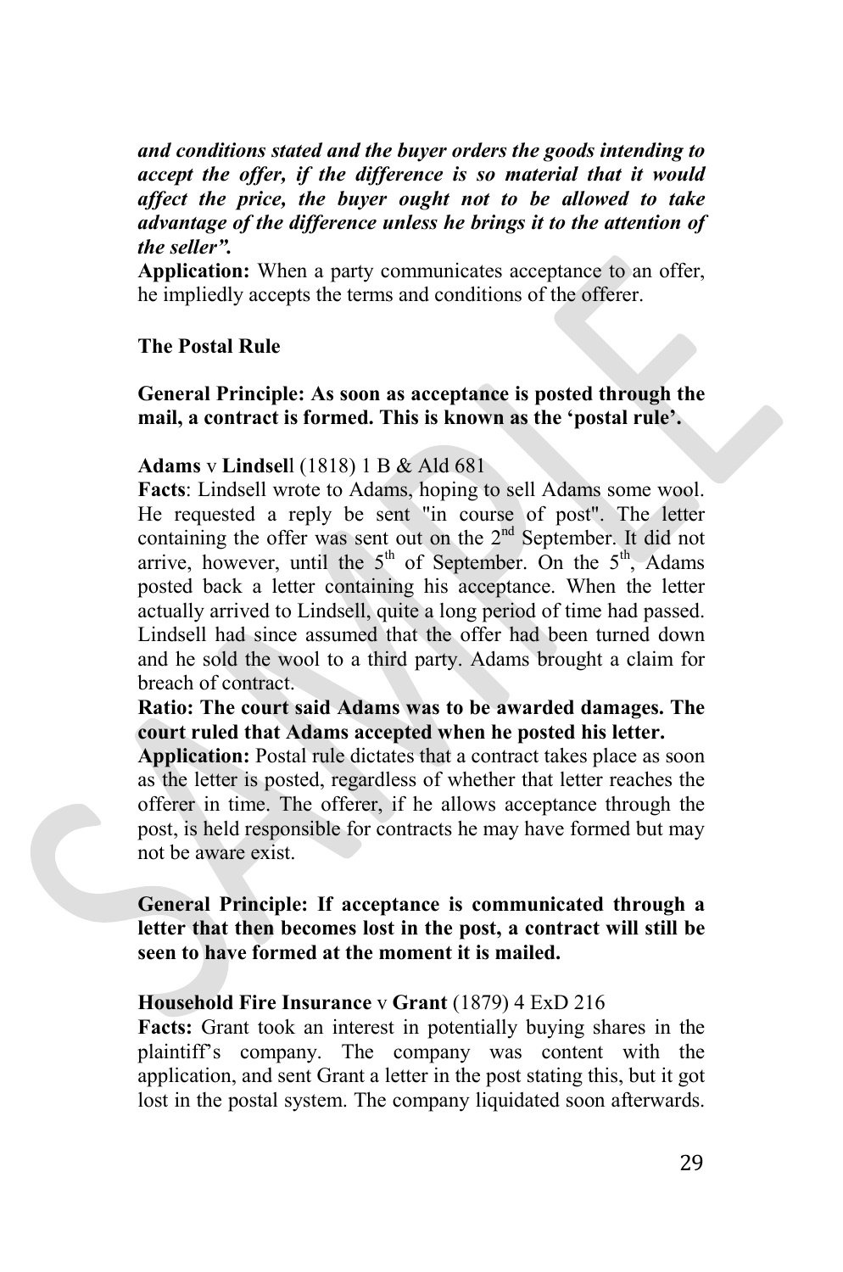*and conditions stated and the buyer orders the goods intending to accept the offer, if the difference is so material that it would affect the price, the buyer ought not to be allowed to take advantage of the difference unless he brings it to the attention of the seller".*

**Application:** When a party communicates acceptance to an offer, he impliedly accepts the terms and conditions of the offerer.

# **The Postal Rule**

**General Principle: As soon as acceptance is posted through the mail, a contract is formed. This is known as the 'postal rule'.**

#### **Adams** v **Lindsel**l (1818) 1 B & Ald 681

**Facts**: Lindsell wrote to Adams, hoping to sell Adams some wool. He requested a reply be sent "in course of post". The letter containing the offer was sent out on the 2<sup>nd</sup> September. It did not arrive, however, until the  $5<sup>th</sup>$  of September. On the  $5<sup>th</sup>$ , Adams posted back a letter containing his acceptance. When the letter actually arrived to Lindsell, quite a long period of time had passed. Lindsell had since assumed that the offer had been turned down and he sold the wool to a third party. Adams brought a claim for breach of contract.

**Ratio: The court said Adams was to be awarded damages. The court ruled that Adams accepted when he posted his letter.**

**Application:** Postal rule dictates that a contract takes place as soon as the letter is posted, regardless of whether that letter reaches the offerer in time. The offerer, if he allows acceptance through the post, is held responsible for contracts he may have formed but may not be aware exist.

**General Principle: If acceptance is communicated through a letter that then becomes lost in the post, a contract will still be seen to have formed at the moment it is mailed.**

#### **Household Fire Insurance** v **Grant** (1879) 4 ExD 216

**Facts:** Grant took an interest in potentially buying shares in the plaintiff's company. The company was content with the application, and sent Grant a letter in the post stating this, but it got lost in the postal system. The company liquidated soon afterwards.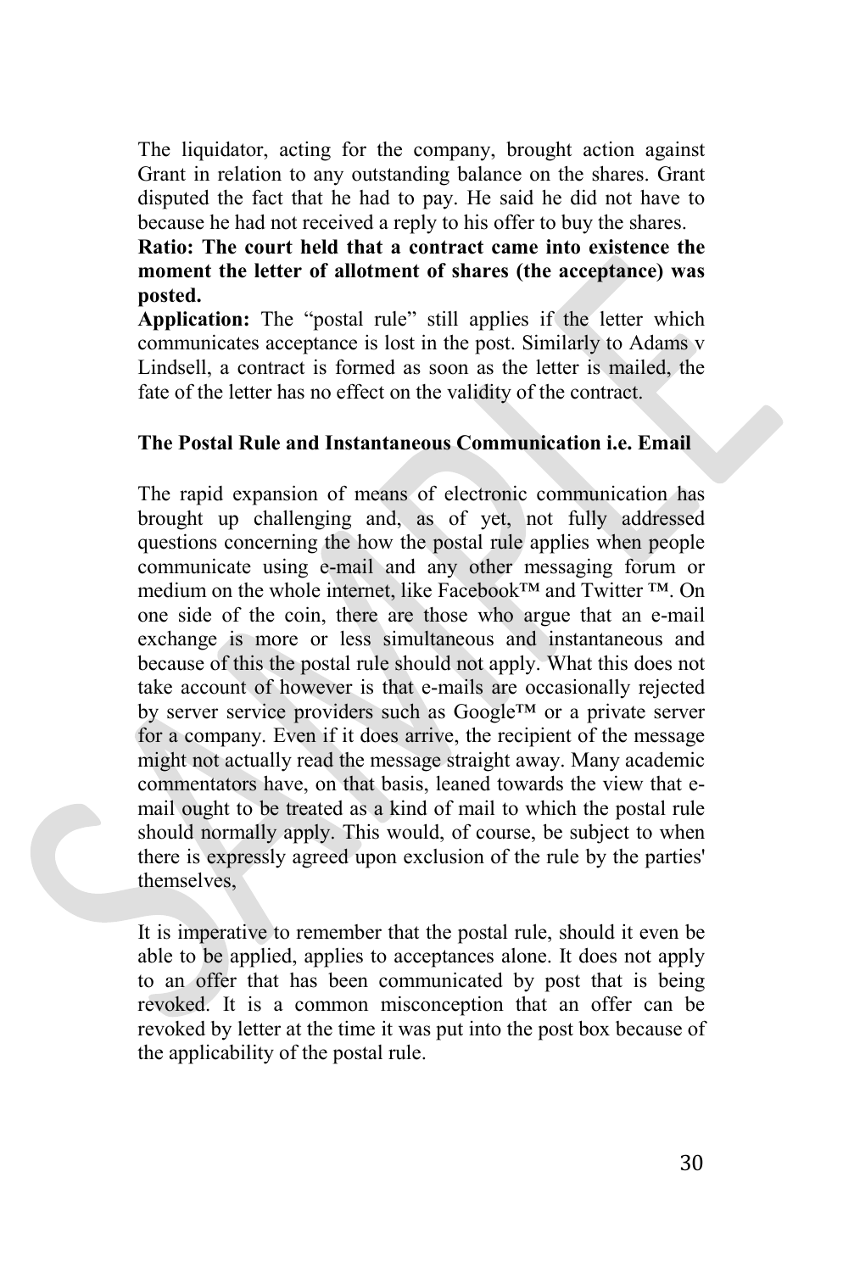The liquidator, acting for the company, brought action against Grant in relation to any outstanding balance on the shares. Grant disputed the fact that he had to pay. He said he did not have to because he had not received a reply to his offer to buy the shares.

**Ratio: The court held that a contract came into existence the moment the letter of allotment of shares (the acceptance) was posted.** 

**Application:** The "postal rule" still applies if the letter which communicates acceptance is lost in the post. Similarly to Adams v Lindsell, a contract is formed as soon as the letter is mailed, the fate of the letter has no effect on the validity of the contract.

# **The Postal Rule and Instantaneous Communication i.e. Email**

The rapid expansion of means of electronic communication has brought up challenging and, as of yet, not fully addressed questions concerning the how the postal rule applies when people communicate using e-mail and any other messaging forum or medium on the whole internet, like Facebook™ and Twitter ™. On one side of the coin, there are those who argue that an e-mail exchange is more or less simultaneous and instantaneous and because of this the postal rule should not apply. What this does not take account of however is that e-mails are occasionally rejected by server service providers such as Google™ or a private server for a company. Even if it does arrive, the recipient of the message might not actually read the message straight away. Many academic commentators have, on that basis, leaned towards the view that email ought to be treated as a kind of mail to which the postal rule should normally apply. This would, of course, be subject to when there is expressly agreed upon exclusion of the rule by the parties' themselves,

It is imperative to remember that the postal rule, should it even be able to be applied, applies to acceptances alone. It does not apply to an offer that has been communicated by post that is being revoked. It is a common misconception that an offer can be revoked by letter at the time it was put into the post box because of the applicability of the postal rule.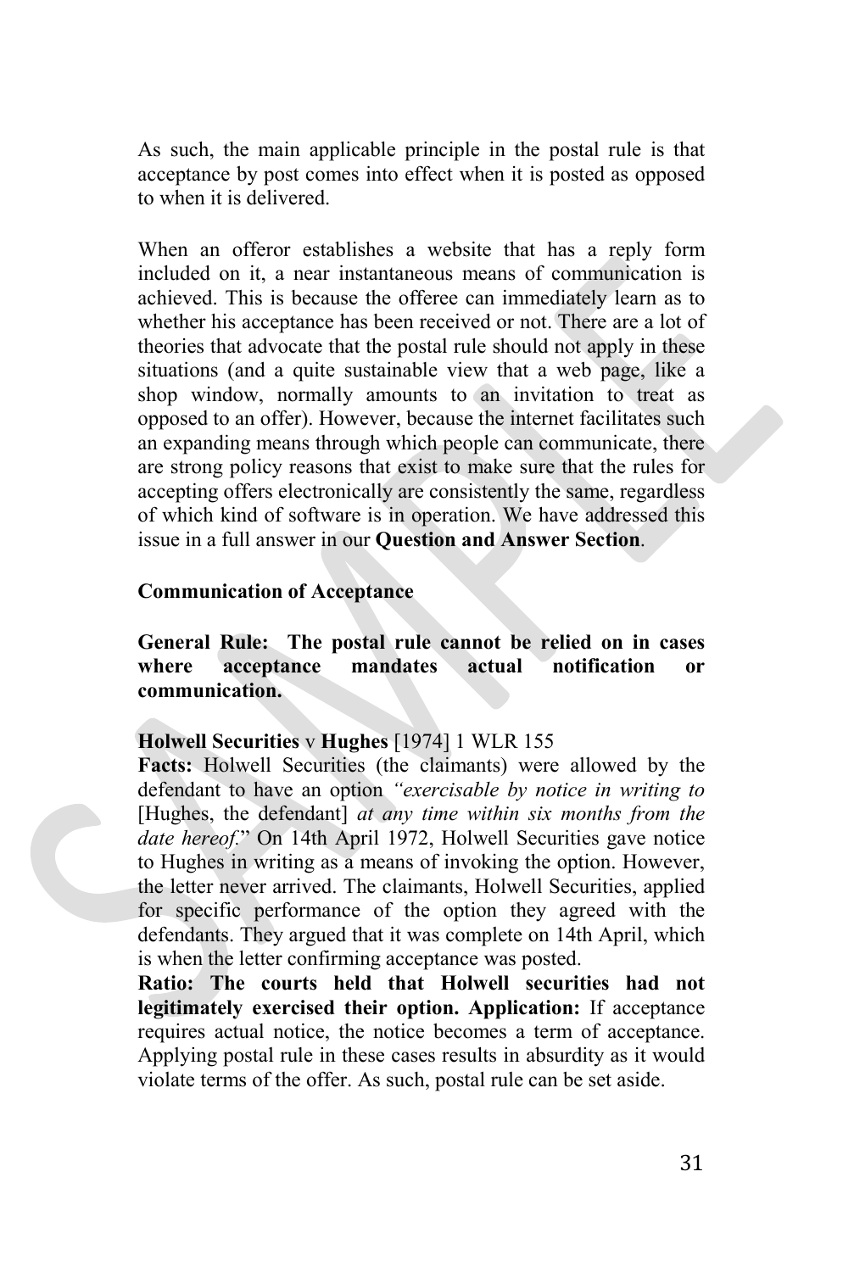As such, the main applicable principle in the postal rule is that acceptance by post comes into effect when it is posted as opposed to when it is delivered.

When an offeror establishes a website that has a reply form included on it, a near instantaneous means of communication is achieved. This is because the offeree can immediately learn as to whether his acceptance has been received or not. There are a lot of theories that advocate that the postal rule should not apply in these situations (and a quite sustainable view that a web page, like a shop window, normally amounts to an invitation to treat as opposed to an offer). However, because the internet facilitates such an expanding means through which people can communicate, there are strong policy reasons that exist to make sure that the rules for accepting offers electronically are consistently the same, regardless of which kind of software is in operation. We have addressed this issue in a full answer in our **Question and Answer Section**.

#### **Communication of Acceptance**

**General Rule: The postal rule cannot be relied on in cases where acceptance mandates actual notification or communication.**

# **Holwell Securities** v **Hughes** [1974] 1 WLR 155

**Facts:** Holwell Securities (the claimants) were allowed by the defendant to have an option *"exercisable by notice in writing to* [Hughes, the defendant] *at any time within six months from the date hereof.*" On 14th April 1972, Holwell Securities gave notice to Hughes in writing as a means of invoking the option. However, the letter never arrived. The claimants, Holwell Securities, applied for specific performance of the option they agreed with the defendants. They argued that it was complete on 14th April, which is when the letter confirming acceptance was posted.

**Ratio: The courts held that Holwell securities had not legitimately exercised their option. Application:** If acceptance requires actual notice, the notice becomes a term of acceptance. Applying postal rule in these cases results in absurdity as it would violate terms of the offer. As such, postal rule can be set aside.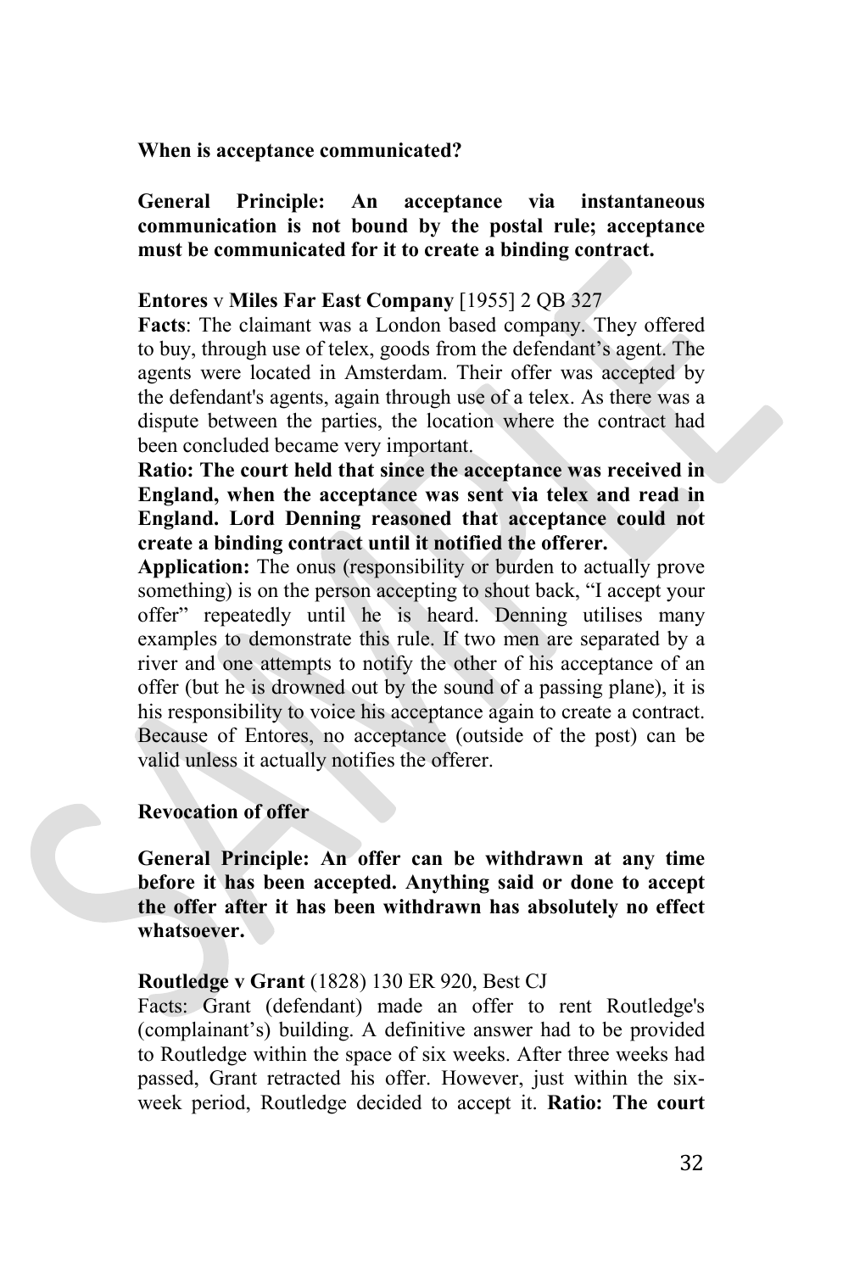**When is acceptance communicated?**

**General Principle: An acceptance via instantaneous communication is not bound by the postal rule; acceptance must be communicated for it to create a binding contract.**

# **Entores** v **Miles Far East Company** [1955] 2 QB 327

**Facts**: The claimant was a London based company. They offered to buy, through use of telex, goods from the defendant's agent. The agents were located in Amsterdam. Their offer was accepted by the defendant's agents, again through use of a telex. As there was a dispute between the parties, the location where the contract had been concluded became very important.

**Ratio: The court held that since the acceptance was received in England, when the acceptance was sent via telex and read in England. Lord Denning reasoned that acceptance could not create a binding contract until it notified the offerer.**

**Application:** The onus (responsibility or burden to actually prove something) is on the person accepting to shout back, "I accept your offer" repeatedly until he is heard. Denning utilises many examples to demonstrate this rule. If two men are separated by a river and one attempts to notify the other of his acceptance of an offer (but he is drowned out by the sound of a passing plane), it is his responsibility to voice his acceptance again to create a contract. Because of Entores, no acceptance (outside of the post) can be valid unless it actually notifies the offerer.

# **Revocation of offer**

**General Principle: An offer can be withdrawn at any time before it has been accepted. Anything said or done to accept the offer after it has been withdrawn has absolutely no effect whatsoever.**

# **Routledge v Grant** (1828) 130 ER 920, Best CJ

Facts: Grant (defendant) made an offer to rent Routledge's (complainant's) building. A definitive answer had to be provided to Routledge within the space of six weeks. After three weeks had passed, Grant retracted his offer. However, just within the sixweek period, Routledge decided to accept it. **Ratio: The court**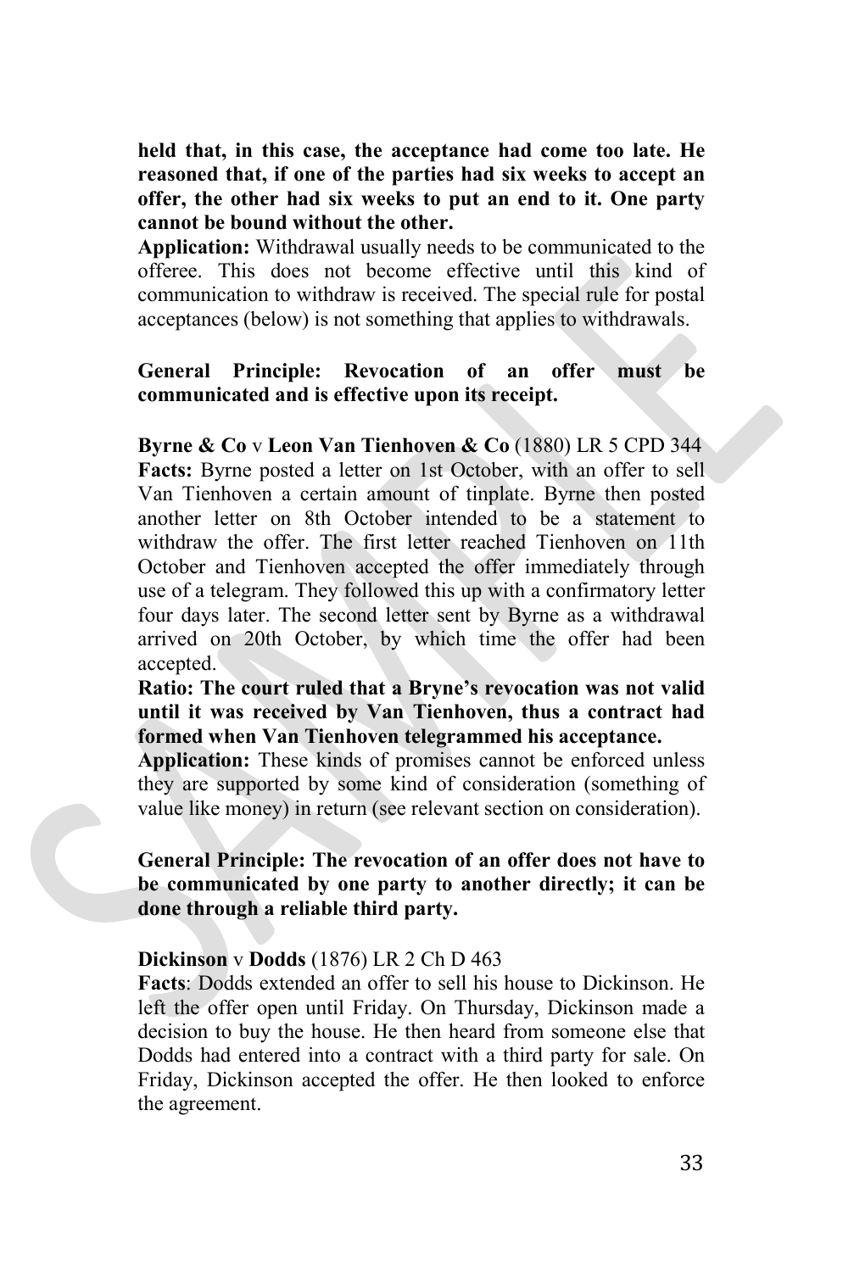**held that, in this case, the acceptance had come too late. He reasoned that, if one of the parties had six weeks to accept an offer, the other had six weeks to put an end to it. One party cannot be bound without the other.**

**Application:** Withdrawal usually needs to be communicated to the offeree. This does not become effective until this kind of communication to withdraw is received. The special rule for postal acceptances (below) is not something that applies to withdrawals.

# **General Principle: Revocation of an offer must be communicated and is effective upon its receipt.**

**Byrne & Co** v **Leon Van Tienhoven & Co** (1880) LR 5 CPD 344 **Facts:** Byrne posted a letter on 1st October, with an offer to sell Van Tienhoven a certain amount of tinplate. Byrne then posted another letter on 8th October intended to be a statement to withdraw the offer. The first letter reached Tienhoven on 11th October and Tienhoven accepted the offer immediately through use of a telegram. They followed this up with a confirmatory letter four days later. The second letter sent by Byrne as a withdrawal arrived on 20th October, by which time the offer had been accepted.

**Ratio: The court ruled that a Bryne's revocation was not valid until it was received by Van Tienhoven, thus a contract had formed when Van Tienhoven telegrammed his acceptance.**

**Application:** These kinds of promises cannot be enforced unless they are supported by some kind of consideration (something of value like money) in return (see relevant section on consideration).

**General Principle: The revocation of an offer does not have to be communicated by one party to another directly; it can be done through a reliable third party.** 

# **Dickinson** v **Dodds** (1876) LR 2 Ch D 463

**Facts**: Dodds extended an offer to sell his house to Dickinson. He left the offer open until Friday. On Thursday, Dickinson made a decision to buy the house. He then heard from someone else that Dodds had entered into a contract with a third party for sale. On Friday, Dickinson accepted the offer. He then looked to enforce the agreement.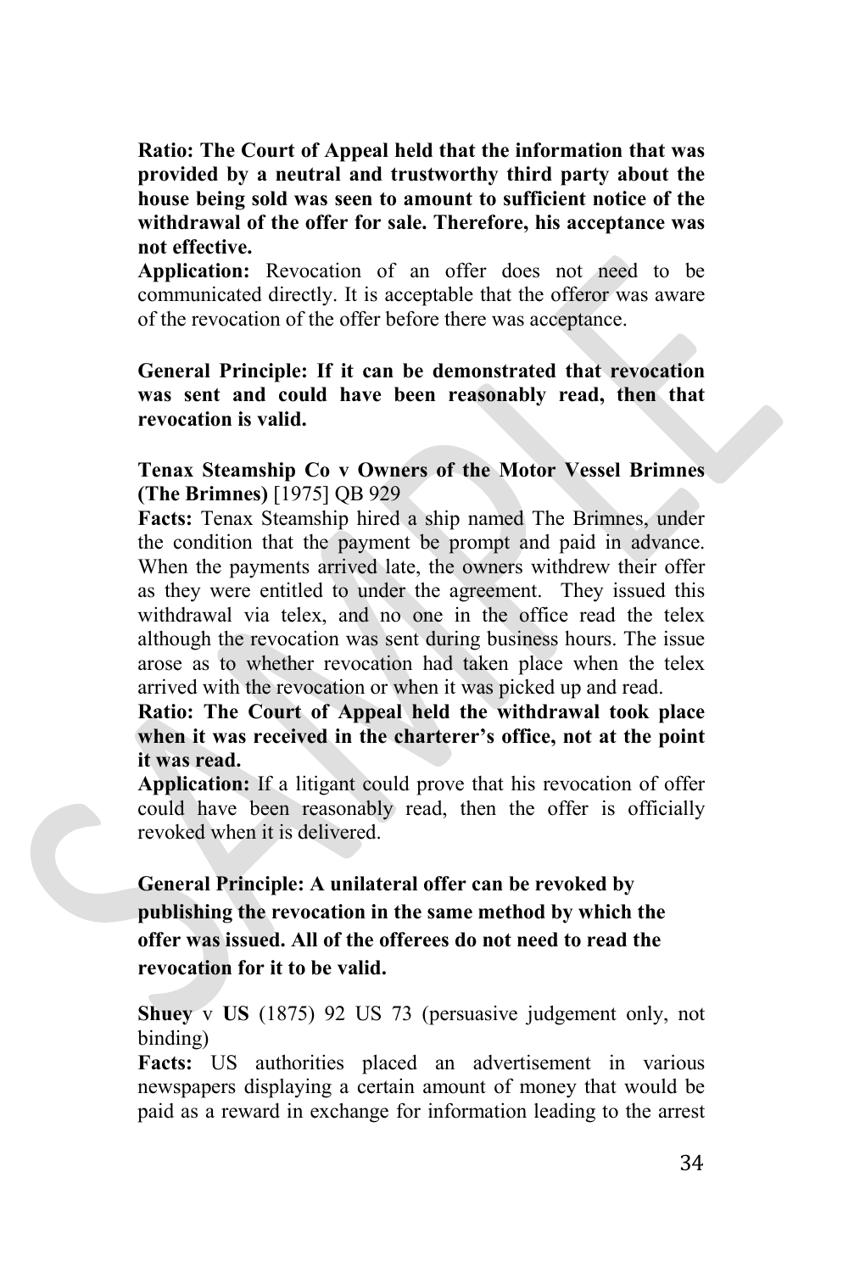**Ratio: The Court of Appeal held that the information that was provided by a neutral and trustworthy third party about the house being sold was seen to amount to sufficient notice of the withdrawal of the offer for sale. Therefore, his acceptance was not effective.** 

**Application:** Revocation of an offer does not need to be communicated directly. It is acceptable that the offeror was aware of the revocation of the offer before there was acceptance.

**General Principle: If it can be demonstrated that revocation was sent and could have been reasonably read, then that revocation is valid.**

**Tenax Steamship Co v Owners of the Motor Vessel Brimnes (The Brimnes)** [1975] QB 929

**Facts:** Tenax Steamship hired a ship named The Brimnes, under the condition that the payment be prompt and paid in advance. When the payments arrived late, the owners withdrew their offer as they were entitled to under the agreement. They issued this withdrawal via telex, and no one in the office read the telex although the revocation was sent during business hours. The issue arose as to whether revocation had taken place when the telex arrived with the revocation or when it was picked up and read.

**Ratio: The Court of Appeal held the withdrawal took place when it was received in the charterer's office, not at the point it was read.**

**Application:** If a litigant could prove that his revocation of offer could have been reasonably read, then the offer is officially revoked when it is delivered.

**General Principle: A unilateral offer can be revoked by publishing the revocation in the same method by which the offer was issued. All of the offerees do not need to read the revocation for it to be valid.**

**Shuey** v **US** (1875) 92 US 73 (persuasive judgement only, not binding)

**Facts:** US authorities placed an advertisement in various newspapers displaying a certain amount of money that would be paid as a reward in exchange for information leading to the arrest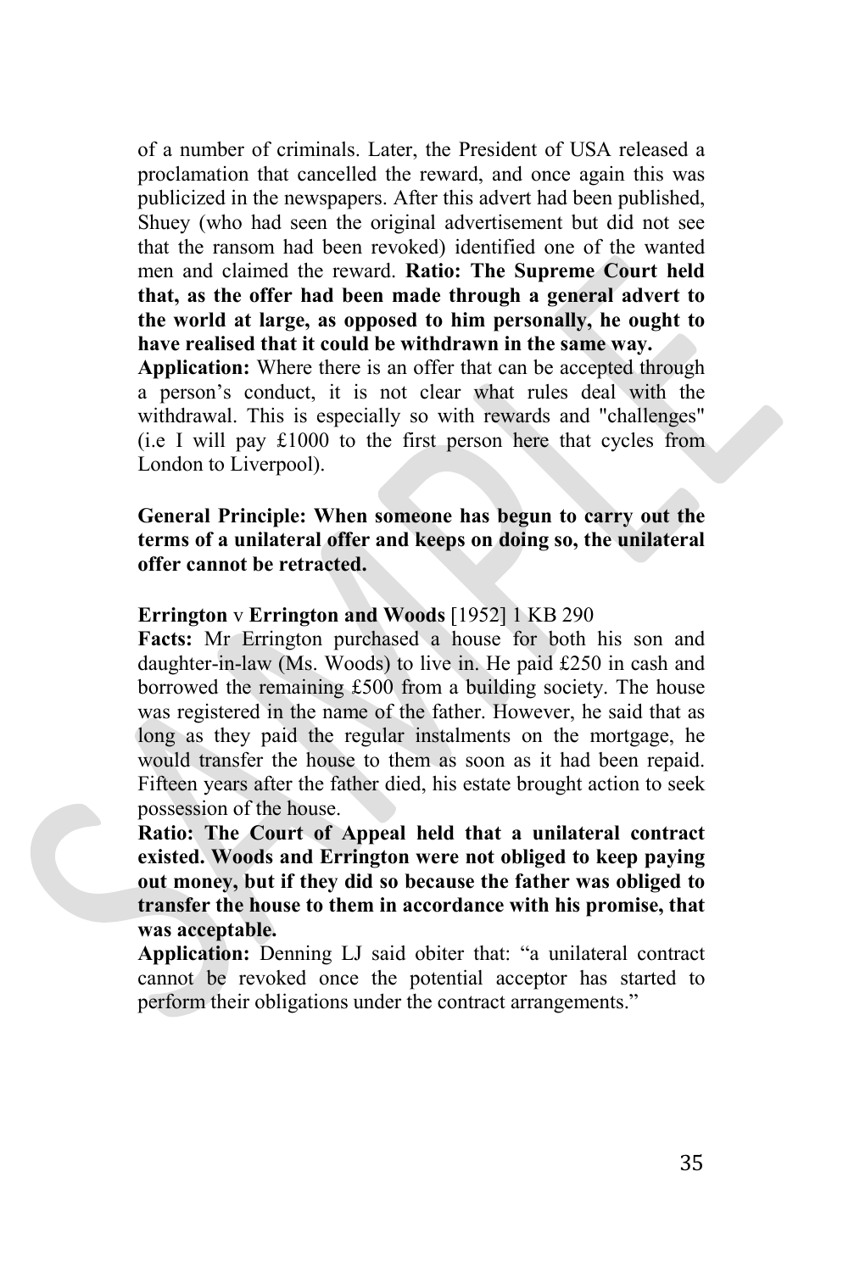of a number of criminals. Later, the President of USA released a proclamation that cancelled the reward, and once again this was publicized in the newspapers. After this advert had been published, Shuey (who had seen the original advertisement but did not see that the ransom had been revoked) identified one of the wanted men and claimed the reward. **Ratio: The Supreme Court held that, as the offer had been made through a general advert to the world at large, as opposed to him personally, he ought to have realised that it could be withdrawn in the same way.** 

**Application:** Where there is an offer that can be accepted through a person's conduct, it is not clear what rules deal with the withdrawal. This is especially so with rewards and "challenges" (i.e I will pay £1000 to the first person here that cycles from London to Liverpool).

# **General Principle: When someone has begun to carry out the terms of a unilateral offer and keeps on doing so, the unilateral offer cannot be retracted.**

# **Errington** v **Errington and Woods** [1952] 1 KB 290

**Facts:** Mr Errington purchased a house for both his son and daughter-in-law (Ms. Woods) to live in. He paid £250 in cash and borrowed the remaining £500 from a building society. The house was registered in the name of the father. However, he said that as long as they paid the regular instalments on the mortgage, he would transfer the house to them as soon as it had been repaid. Fifteen years after the father died, his estate brought action to seek possession of the house.

**Ratio: The Court of Appeal held that a unilateral contract existed. Woods and Errington were not obliged to keep paying out money, but if they did so because the father was obliged to transfer the house to them in accordance with his promise, that was acceptable.**

**Application:** Denning LJ said obiter that: "a unilateral contract cannot be revoked once the potential acceptor has started to perform their obligations under the contract arrangements."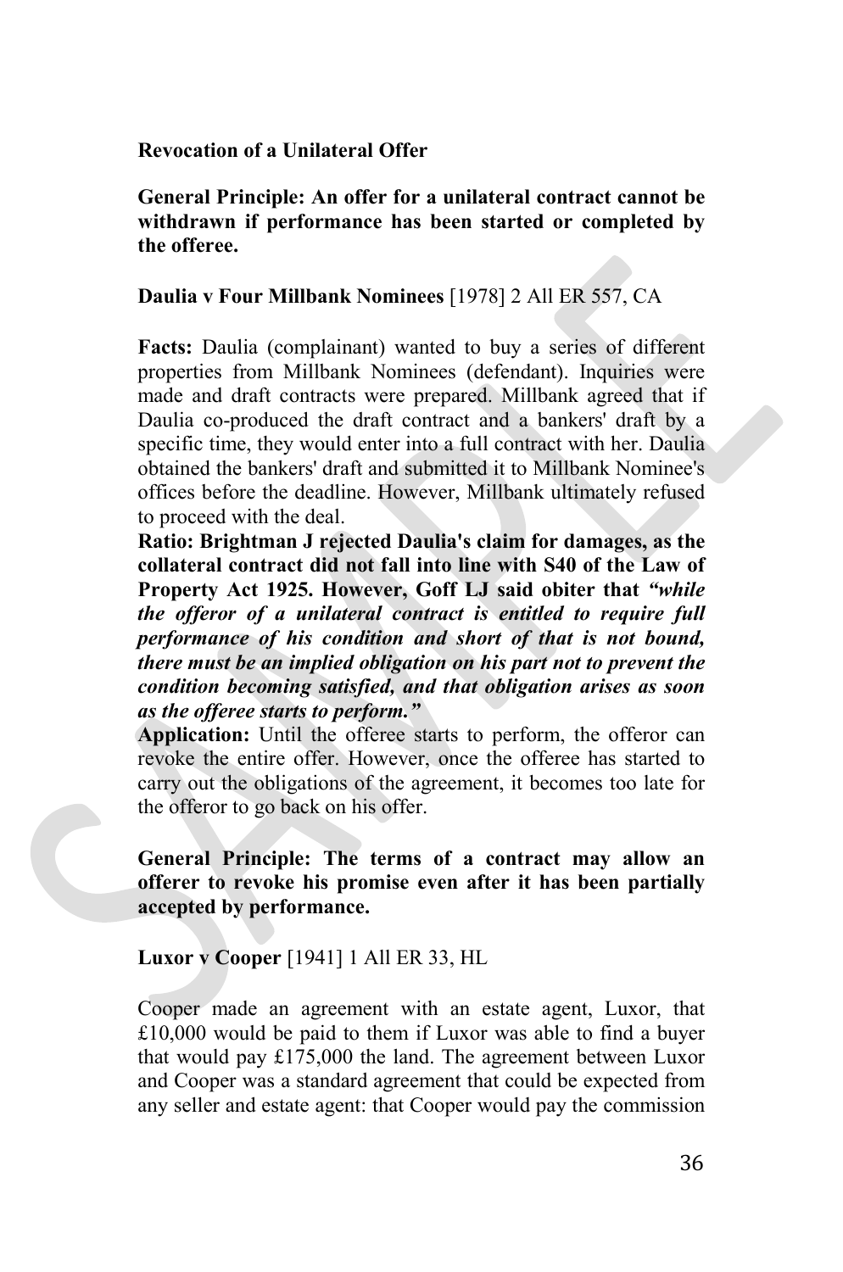**Revocation of a Unilateral Offer**

**General Principle: An offer for a unilateral contract cannot be withdrawn if performance has been started or completed by the offeree.**

# **Daulia v Four Millbank Nominees** [1978] 2 All ER 557, CA

**Facts:** Daulia (complainant) wanted to buy a series of different properties from Millbank Nominees (defendant). Inquiries were made and draft contracts were prepared. Millbank agreed that if Daulia co-produced the draft contract and a bankers' draft by a specific time, they would enter into a full contract with her. Daulia obtained the bankers' draft and submitted it to Millbank Nominee's offices before the deadline. However, Millbank ultimately refused to proceed with the deal.

**Ratio: Brightman J rejected Daulia's claim for damages, as the collateral contract did not fall into line with S40 of the Law of Property Act 1925. However, Goff LJ said obiter that** *"while the offeror of a unilateral contract is entitled to require full performance of his condition and short of that is not bound, there must be an implied obligation on his part not to prevent the condition becoming satisfied, and that obligation arises as soon as the offeree starts to perform."*

**Application:** Until the offeree starts to perform, the offeror can revoke the entire offer. However, once the offeree has started to carry out the obligations of the agreement, it becomes too late for the offeror to go back on his offer.

**General Principle: The terms of a contract may allow an offerer to revoke his promise even after it has been partially accepted by performance.**

**Luxor v Cooper** [1941] 1 All ER 33, HL

Cooper made an agreement with an estate agent, Luxor, that £10,000 would be paid to them if Luxor was able to find a buyer that would pay £175,000 the land. The agreement between Luxor and Cooper was a standard agreement that could be expected from any seller and estate agent: that Cooper would pay the commission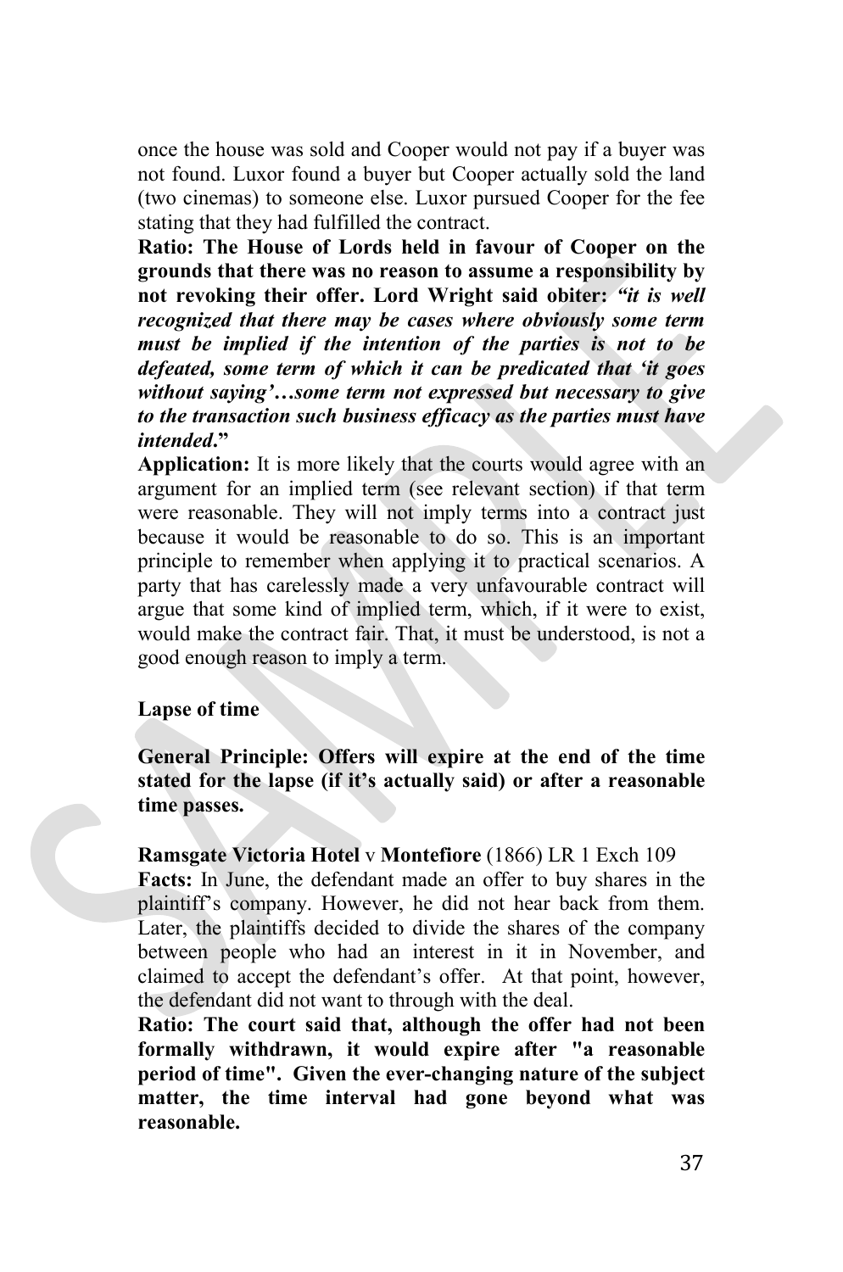once the house was sold and Cooper would not pay if a buyer was not found. Luxor found a buyer but Cooper actually sold the land (two cinemas) to someone else. Luxor pursued Cooper for the fee stating that they had fulfilled the contract.

**Ratio: The House of Lords held in favour of Cooper on the grounds that there was no reason to assume a responsibility by not revoking their offer. Lord Wright said obiter:** *"it is well recognized that there may be cases where obviously some term must be implied if the intention of the parties is not to be defeated, some term of which it can be predicated that 'it goes without saying'…some term not expressed but necessary to give to the transaction such business efficacy as the parties must have intended***."** 

**Application:** It is more likely that the courts would agree with an argument for an implied term (see relevant section) if that term were reasonable. They will not imply terms into a contract just because it would be reasonable to do so. This is an important principle to remember when applying it to practical scenarios. A party that has carelessly made a very unfavourable contract will argue that some kind of implied term, which, if it were to exist, would make the contract fair. That, it must be understood, is not a good enough reason to imply a term.

#### **Lapse of time**

**General Principle: Offers will expire at the end of the time stated for the lapse (if it's actually said) or after a reasonable time passes.**

**Ramsgate Victoria Hotel** v **Montefiore** (1866) LR 1 Exch 109 **Facts:** In June, the defendant made an offer to buy shares in the plaintiff's company. However, he did not hear back from them. Later, the plaintiffs decided to divide the shares of the company between people who had an interest in it in November, and claimed to accept the defendant's offer. At that point, however, the defendant did not want to through with the deal.

**Ratio: The court said that, although the offer had not been formally withdrawn, it would expire after "a reasonable period of time". Given the ever-changing nature of the subject matter, the time interval had gone beyond what was reasonable.**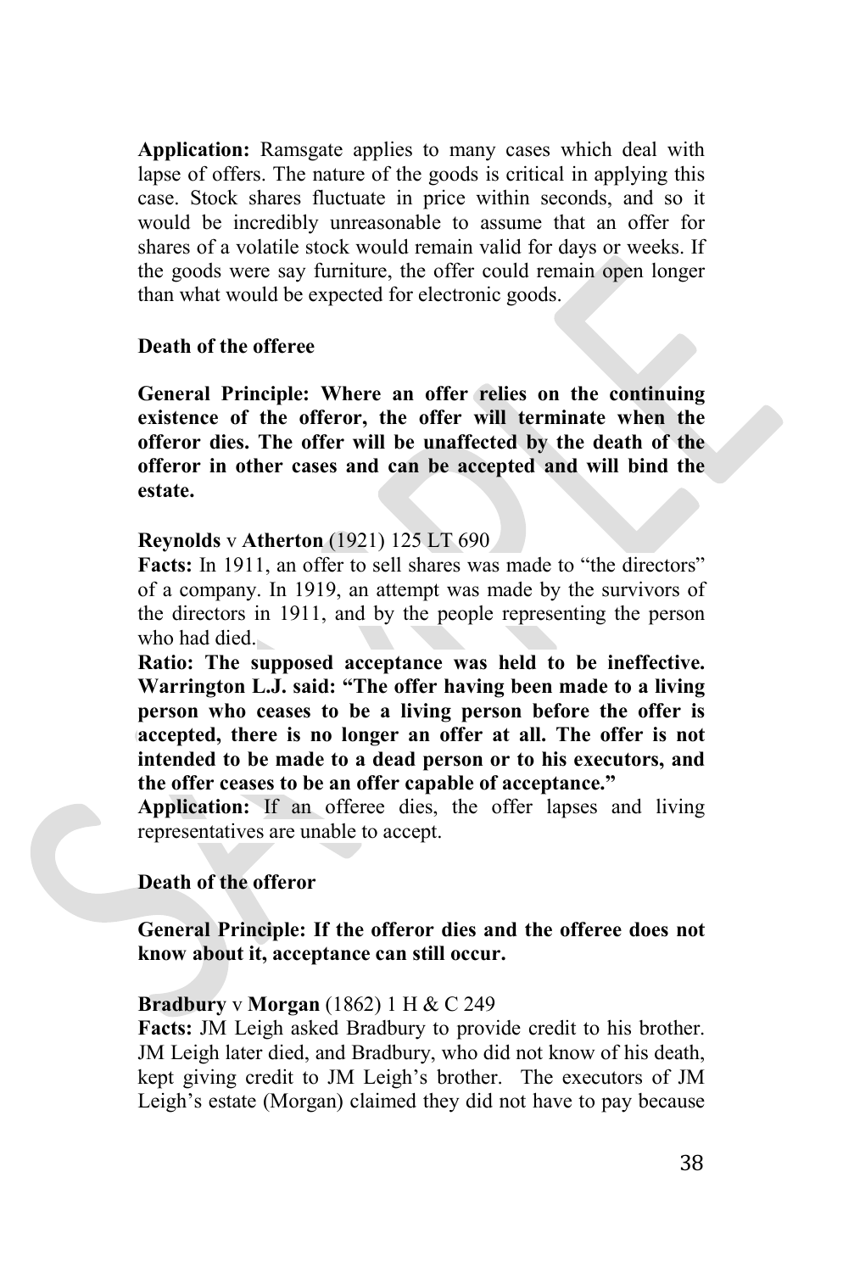**Application:** Ramsgate applies to many cases which deal with lapse of offers. The nature of the goods is critical in applying this case. Stock shares fluctuate in price within seconds, and so it would be incredibly unreasonable to assume that an offer for shares of a volatile stock would remain valid for days or weeks. If the goods were say furniture, the offer could remain open longer than what would be expected for electronic goods.

# **Death of the offeree**

**General Principle: Where an offer relies on the continuing existence of the offeror, the offer will terminate when the offeror dies. The offer will be unaffected by the death of the offeror in other cases and can be accepted and will bind the estate.**

#### **Reynolds** v **Atherton** (1921) 125 LT 690

**Facts:** In 1911, an offer to sell shares was made to "the directors" of a company. In 1919, an attempt was made by the survivors of the directors in 1911, and by the people representing the person who had died.

**Ratio: The supposed acceptance was held to be ineffective. Warrington L.J. said: "The offer having been made to a living person who ceases to be a living person before the offer is accepted, there is no longer an offer at all. The offer is not intended to be made to a dead person or to his executors, and the offer ceases to be an offer capable of acceptance."** 

**Application:** If an offeree dies, the offer lapses and living representatives are unable to accept.

# **Death of the offeror**

**General Principle: If the offeror dies and the offeree does not know about it, acceptance can still occur.** 

#### **Bradbury** v **Morgan** (1862) 1 H & C 249

**Facts:** JM Leigh asked Bradbury to provide credit to his brother. JM Leigh later died, and Bradbury, who did not know of his death, kept giving credit to JM Leigh's brother. The executors of JM Leigh's estate (Morgan) claimed they did not have to pay because